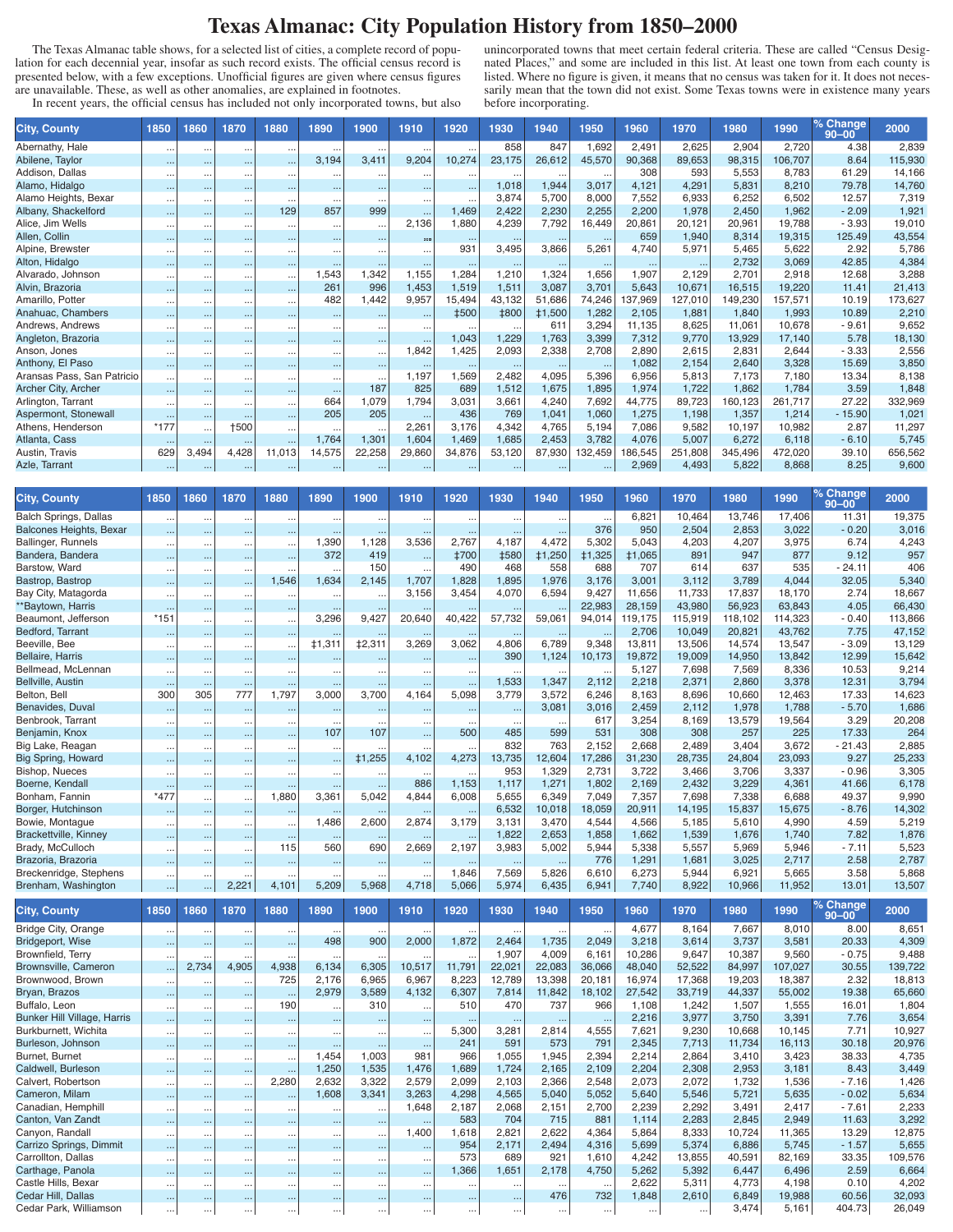## **Texas Almanac: City Population History from 1850–2000**

The Texas Almanac table shows, for a selected list of cities, a complete record of population for each decennial year, insofar as such record exists. The official census record is presented below, with a few exceptions. Unofficial figures are given where census figures are unavailable. These, as well as other anomalies, are explained in footnotes.

In recent years, the official census has included not only incorporated towns, but also

unincorporated towns that meet certain federal criteria. These are called "Census Designated Places," and some are included in this list. At least one town from each county is listed. Where no figure is given, it means that no census was taken for it. It does not necessarily mean that the town did not exist. Some Texas towns were in existence many years before incorporating.

| <b>City, County</b>        | 1850     | 1860     | 1870                 | 1880                 | 1890     | 1900         | 1910     | 1920        | 1930        | 1940     | 1950     | 1960     | 1970     | 1980    | 1990    | '% Change,<br>$90 - 00$ | 2000    |
|----------------------------|----------|----------|----------------------|----------------------|----------|--------------|----------|-------------|-------------|----------|----------|----------|----------|---------|---------|-------------------------|---------|
| Abernathy, Hale            | $\cdots$ |          |                      | $\cdots$             |          |              |          |             | 858         | 847      | 1,692    | 2,491    | 2,625    | 2,904   | 2,720   | 4.38                    | 2,839   |
| Abilene, Taylor            | $\cdots$ |          | $\cdots$             | $\cdots$             | 3,194    | 3,411        | 9,204    | 10,274      | 23,175      | 26,612   | 45,570   | 90,368   | 89,653   | 98,315  | 106,707 | 8.64                    | 115,930 |
| Addison, Dallas            |          |          |                      |                      |          |              |          |             |             |          |          | 308      | 593      | 5.553   | 8.783   | 61.29                   | 14,166  |
| Alamo, Hidalgo             | $\cdots$ |          | $\cdots$             | $\cdots$             | $\cdots$ |              |          | $\cdots$    | 1,018       | 1,944    | 3,017    | 4.121    | 4.291    | 5.831   | 8.210   | 79.78                   | 14,760  |
| Alamo Heights, Bexar       | $\cdots$ |          | $\cdots$             | $\cdots$             | $\cdots$ | $\cdots$     |          | $\cdots$    | 3,874       | 5,700    | 8.000    | 7,552    | 6,933    | 6,252   | 6.502   | 12.57                   | 7,319   |
| Albany, Shackelford        | $\cdots$ | $\cdots$ | $\cdots$             | 129                  | 857      | 999          | $\cdots$ | 1.469       | 2,422       | 2,230    | 2,255    | 2,200    | 1,978    | 2,450   | 1.962   | $-2.09$                 | 1,921   |
| Alice, Jim Wells           | $\cdots$ | $\cdots$ | $\cdots$             | $\cdots$             | $\cdots$ | $\ddotsc$    | 2,136    | 1,880       | 4,239       | 7,792    | 16,449   | 20,861   | 20.121   | 20.961  | 19,788  | $-3.93$                 | 19,010  |
| Allen, Collin              | $\cdots$ |          |                      | $\cdots$             | $\cdots$ |              |          | $\cdots$    | $\ldots$    | $\cdots$ | $\cdots$ | 659      | 1,940    | 8,314   | 19,315  | 125.49                  | 43,554  |
| Alpine, Brewster           | $\cdots$ |          |                      |                      |          |              |          | 931         | 3,495       | 3,866    | 5,261    | 4,740    | 5,971    | 5,465   | 5,622   | 2.92                    | 5,786   |
| Alton, Hidalgo             | $\cdots$ |          | $\cdots$             | $\sim$ $\sim$ $\sim$ |          |              |          |             | $\cdots$    | $\cdots$ |          | $\cdots$ | $\cdots$ | 2,732   | 3,069   | 42.85                   | 4,384   |
| Alvarado, Johnson          | $\cdots$ |          | $\cdots$             | $\cdots$             | 1,543    | 1,342        | 1,155    | 1,284       | 1,210       | 1,324    | 1,656    | 1,907    | 2,129    | 2,701   | 2.918   | 12.68                   | 3,288   |
| Alvin, Brazoria            | $\cdots$ |          | $\cdots$             | $\cdots$             | 261      | 996          | 1.453    | 1.519       | 1.511       | 3,087    | 3,701    | 5,643    | 10,671   | 16.515  | 19.220  | 11.41                   | 21,413  |
| Amarillo, Potter           | $\cdots$ | $\cdots$ | $\cdots$             | $\cdots$             | 482      | 1,442        | 9.957    | 15,494      | 43.132      | 51.686   | 74,246   | 137,969  | 127,010  | 149,230 | 57.571  | 10.19                   | 173,627 |
| Anahuac, Chambers          | $\cdots$ |          | $\cdots$             | $\cdots$             | $\cdots$ |              | $\cdots$ | <b>‡500</b> | <b>‡800</b> | ±1,500   | 1,282    | 2,105    | 1.881    | 1.840   | 1.993   | 10.89                   | 2,210   |
| Andrews, Andrews           | $\cdots$ |          | $\cdots$             | $\cdots$             | $\cdots$ | $\cdots$     |          |             |             | 611      | 3,294    | 11,135   | 8.625    | 11.061  | 10.678  | $-9.61$                 | 9,652   |
| Angleton, Brazoria         | $\cdots$ | $\cdots$ | $\cdots$             | $\cdots$             | $\cdots$ | $\cdots$     |          | 1.043       | 1,229       | 1,763    | 3.399    | 7.312    | 9.770    | 13.929  | 17.140  | 5.78                    | 18,130  |
| Anson, Jones               | $\cdots$ |          | $\cdots$             | $\cdots$             | $\cdots$ | $\mathbf{r}$ | 1,842    | 1.425       | 2,093       | 2,338    | 2,708    | 2.890    | 2,615    | 2.831   | 2,644   | $-3.33$                 | 2,556   |
| Anthony, El Paso           | $\cdots$ |          |                      |                      | $\cdots$ |              |          | $\cdots$    | $\cdots$    | $\cdots$ |          | 1.082    | 2,154    | 2.640   | 3,328   | 15.69                   | 3,850   |
| Aransas Pass, San Patricio | $\cdots$ |          |                      | $\cdots$             | $\cdots$ |              | 1,197    | 1,569       | 2,482       | 4,095    | 5,396    | 6,956    | 5,813    | 7.173   | 7.180   | 13.34                   | 8,138   |
| Archer City, Archer        | $\cdots$ |          | $\cdots$             | $\cdots$             | $\cdots$ | 187          | 825      | 689         | 1,512       | 1,675    | 1,895    | 1,974    | 1,722    | 1.862   | 1.784   | 3.59                    | 1,848   |
| Arlington, Tarrant         | $\cdots$ | $\cdots$ | $\ddot{\phantom{a}}$ | $\cdots$             | 664      | 1,079        | 1,794    | 3,031       | 3,661       | 4,240    | 7,692    | 44,775   | 89,723   | 160.123 | 261.717 | 27.22                   | 332,969 |
| Aspermont, Stonewall       | $\cdots$ | $\cdots$ | $\cdots$             | $\cdots$             | 205      | 205          | $\cdots$ | 436         | 769         | 1,041    | 1,060    | 1,275    | 1.198    | 1,357   | 1,214   | $-15.90$                | 1,021   |
| Athens, Henderson          | $*177$   | $\cdots$ | +500                 | $\cdots$             | $\cdots$ | .            | 2,261    | 3,176       | 4,342       | 4,765    | 5.194    | 7.086    | 9,582    | 10.197  | 10.982  | 2.87                    | 11,297  |
| Atlanta, Cass              | $\cdots$ |          | $\cdots$             | $\cdots$             | 1,764    | 1.301        | 1.604    | 1.469       | 1.685       | 2,453    | 3,782    | 4,076    | 5,007    | 6.272   | 6.118   | $-6.10$                 | 5,745   |
| Austin, Travis             | 629      | 3,494    | 4,428                | 11,013               | 14,575   | 22,258       | 29,860   | 34,876      | 53,120      | 87,930   | 132,459  | 186,545  | 251,808  | 345,496 | 472,020 | 39.10                   | 656,562 |
| Azle, Tarrant              |          |          |                      | $\cdots$             | $\cdots$ | $\cdots$     |          | $\cdots$    | $\cdots$    | $\cdots$ | $\cdots$ | 2,969    | 4,493    | 5,822   | 8,868   | 8.25                    | 9,600   |

| <b>City, County</b>          | 1850      | 1860                 | 1870      | 1880                 | 1890      | 1900          | 1910     | 1920        | 1930        | 1940          | 1950          | 1960          | 1970    | 1980    | 1990    | % Change<br>$90 - 00$ | 2000    |
|------------------------------|-----------|----------------------|-----------|----------------------|-----------|---------------|----------|-------------|-------------|---------------|---------------|---------------|---------|---------|---------|-----------------------|---------|
| Balch Springs, Dallas        | $\ddotsc$ |                      | $\cdots$  | $\ddotsc$            |           |               |          |             |             | $\cdots$      | $\ddotsc$     | 6,821         | 10,464  | 13.746  | 17,406  | 11.31                 | 19,375  |
| Balcones Heights, Bexar      | $\cdots$  |                      | $\cdots$  | $\cdots$             |           |               |          | $\cdots$    |             | $\cdots$      | 376           | 950           | 2,504   | 2,853   | 3,022   | $-0.20$               | 3,016   |
| Ballinger, Runnels           | $\ddotsc$ | $\ddot{\phantom{a}}$ | $\cdots$  | $\cdots$             | 1,390     | 1.128         | 3.536    | 2,767       | 4.187       | 4.472         | 5.302         | 5.043         | 4,203   | 4,207   | 3.975   | 6.74                  | 4,243   |
| Bandera, Bandera             | $\ddotsc$ |                      | $\cdots$  | $\cdots$             | 372       | 419           | $\cdots$ | <b>‡700</b> | <b>‡580</b> | <b>‡1,250</b> | <b>‡1,325</b> | <b>‡1,065</b> | 891     | 947     | 877     | 9.12                  | 957     |
| Barstow, Ward                |           | $\ddot{\phantom{a}}$ | $\cdots$  | $\cdots$             | $\cdots$  | 150           | $\cdots$ | 490         | 468         | 558           | 688           | 707           | 614     | 637     | 535     | $-24.11$              | 406     |
| Bastrop, Bastrop             | $\cdots$  | $\cdots$             | $\cdots$  | 1.546                | 1.634     | 2,145         | 1.707    | 1.828       | 1.895       | 1.976         | 3.176         | 3.001         | 3.112   | 3.789   | 4.044   | 32.05                 | 5,340   |
| Bay City, Matagorda          | $\ddotsc$ | $\ddotsc$            | $\cdots$  | $\ddotsc$            | $\cdots$  |               | 3,156    | 3,454       | 4,070       | 6,594         | 9,427         | 11,656        | 11,733  | 17,837  | 18,170  | 2.74                  | 18,667  |
| **Baytown, Harris            | $\ddotsc$ |                      | $\cdots$  | $\ddotsc$            |           |               |          |             |             |               | 22,983        | 28,159        | 43,980  | 56,923  | 63,843  | 4.05                  | 66,430  |
| Beaumont, Jefferson          | $*151$    | $\ddotsc$            | $\cdots$  | $\cdots$             | 3,296     | 9,427         | 20,640   | 40,422      | 57,732      | 59,061        | 94,014        | 119,175       | 115,919 | 118.102 | 114.323 | $-0.40$               | 113,866 |
| Bedford, Tarrant             | $\ddotsc$ |                      | $\cdots$  | $\cdots$             |           |               |          | $\cdots$    | $\cdots$    | $\cdots$      | $\cdots$      | 2,706         | 10,049  | 20,821  | 43,762  | 7.75                  | 47,152  |
| Beeville, Bee                | $\cdots$  | $\ddotsc$            | $\cdots$  | $\cdots$             | ±1,311    | ‡2,311        | 3,269    | 3,062       | 4,806       | 6,789         | 9.348         | 13,811        | 13,506  | 14.574  | 13,547  | $-3.09$               | 13,129  |
| <b>Bellaire, Harris</b>      | $\cdots$  |                      | $\cdots$  | $\sim$               |           |               |          |             | 390         | 1,124         | 10,173        | 19,872        | 19,009  | 14,950  | 13,842  | 12.99                 | 15,642  |
| Bellmead, McLennan           | $\cdots$  | $\ddot{\phantom{a}}$ | $\cdots$  | $\ddotsc$            | $\cdots$  |               |          |             |             |               | $\ldots$      | 5.127         | 7.698   | 7,569   | 8,336   | 10.53                 | 9,214   |
| Bellville, Austin            | $\cdots$  | $\sim$               | $\cdots$  | $\cdots$             | $\cdots$  |               |          | $\cdots$    | 1,533       | 1,347         | 2.112         | 2,218         | 2,371   | 2.860   | 3.378   | 12.31                 | 3,794   |
| Belton, Bell                 | 300       | 305                  | 777       | 1.797                | 3,000     | 3.700         | 4.164    | 5.098       | 3,779       | 3,572         | 6.246         | 8.163         | 8,696   | 10,660  | 12,463  | 17.33                 | 14,623  |
| Benavides, Duval             | $\ddotsc$ |                      | $\ddotsc$ |                      |           |               |          |             |             | 3.081         | 3.016         | 2,459         | 2,112   | 1.978   | 1.788   | $-5.70$               | 1,686   |
| Benbrook, Tarrant            | $\ddotsc$ | $\ddot{\phantom{a}}$ | $\cdots$  | $\ddotsc$            | $\cdots$  | $\cdots$      |          |             | $\cdots$    | $\cdots$      | 617           | 3,254         | 8,169   | 13,579  | 19,564  | 3.29                  | 20,208  |
| Benjamin, Knox               | $\ddotsc$ |                      | $\cdots$  | $\cdots$             | 107       | 107           |          | 500         | 485         | 599           | 531           | 308           | 308     | 257     | 225     | 17.33                 | 264     |
| Big Lake, Reagan             | $\ddotsc$ |                      |           | $\ddotsc$            | $\cdots$  |               |          |             | 832         | 763           | 2,152         | 2.668         | 2.489   | 3.404   | 3.672   | $-21.43$              | 2,885   |
| Big Spring, Howard           | $\cdots$  |                      | $\cdots$  | $\ddotsc$            |           | <b>‡1,255</b> | 4,102    | 4,273       | 13,735      | 12,604        | 17,286        | 31,230        | 28,735  | 24,804  | 23,093  | 9.27                  | 25,233  |
| Bishop, Nueces               | $\ddotsc$ |                      | $\cdots$  | $\ddotsc$            | $\ddotsc$ |               |          |             | 953         | 1,329         | 2.731         | 3.722         | 3.466   | 3.706   | 3,337   | $-0.96$               | 3,305   |
| Boerne, Kendall              | $\ddotsc$ |                      | $\cdots$  | $\ddotsc$            | $\sim$    |               | 886      | 1,153       | 1,117       | 1,271         | 1,802         | 2,169         | 2,432   | 3,229   | 4,361   | 41.66                 | 6,178   |
| Bonham, Fannin               | $*477$    | $\ddot{\phantom{a}}$ | $\cdots$  | 1,880                | 3,361     | 5,042         | 4,844    | 6,008       | 5,655       | 6.349         | 7.049         | 7,357         | 7.698   | 7.338   | 6.688   | 49.37                 | 9,990   |
| Borger, Hutchinson           | $\cdots$  |                      | $\cdots$  | $\cdots$             |           |               |          | $\cdots$    | 6,532       | 10,018        | 18,059        | 20,911        | 14,195  | 15,837  | 15.675  | $-8.76$               | 14,302  |
| Bowie, Montaque              | $\ddotsc$ | $\ddotsc$            | $\cdots$  | $\ddot{\phantom{a}}$ | 1,486     | 2,600         | 2,874    | 3.179       | 3,131       | 3,470         | 4.544         | 4,566         | 5,185   | 5,610   | 4,990   | 4.59                  | 5,219   |
| <b>Brackettville, Kinney</b> | $\cdots$  |                      | $\cdots$  | $\cdots$             | $\cdots$  |               |          | $\cdots$    | 1,822       | 2,653         | 1,858         | 1.662         | 1,539   | 1,676   | 1,740   | 7.82                  | 1,876   |
| Brady, McCulloch             | $\cdots$  | $\ddot{\phantom{a}}$ | $\cdots$  | 115                  | 560       | 690           | 2.669    | 2.197       | 3,983       | 5,002         | 5.944         | 5.338         | 5.557   | 5.969   | 5.946   | $-7.11$               | 5,523   |
| Brazoria, Brazoria           | $\ddotsc$ | $\ddot{\phantom{0}}$ | $\cdots$  | $\sim$               |           |               |          |             |             |               | 776           | 1,291         | 1,681   | 3,025   | 2,717   | 2.58                  | 2,787   |
| Breckenridge, Stephens       | $\ddotsc$ | $\ddotsc$            | $\cdots$  | $\ddotsc$            | $\cdots$  | $\cdots$      | $\cdots$ | 1,846       | 7,569       | 5,826         | 6,610         | 6,273         | 5,944   | 6,921   | 5,665   | 3.58                  | 5,868   |
| Brenham, Washington          | $\cdots$  | $\ddot{\phantom{0}}$ | 2.221     | 4,101                | 5,209     | 5.968         | 4,718    | 5,066       | 5,974       | 6,435         | 6,941         | 7,740         | 8,922   | 10,966  | 11,952  | 13.01                 | 13,507  |
| <b>City, County</b>          | 1850      | 1860                 | 1870      | 1880                 | 1890      | 1900          | 1910     | 1920        | 1930        | 1940          | 1950          | 1960          | 1970    | 1980    | 1990    | % Change<br>$90 - 00$ | 2000    |
| <b>Bridge City Orange</b>    |           |                      |           |                      |           |               |          |             |             |               |               | 4677          | 8 164   | 7.667   | 8.010   | 8.00                  | 8651    |

|                                    |          |          |          |          |          |          |          |          |          |          |           |        |        |        |         | ອບ−ບບ   |         |
|------------------------------------|----------|----------|----------|----------|----------|----------|----------|----------|----------|----------|-----------|--------|--------|--------|---------|---------|---------|
| <b>Bridge City, Orange</b>         | $\cdots$ | $\cdots$ | $\cdots$ | $\cdots$ |          |          |          |          |          |          | $\cdot$ . | 4,677  | 8,164  | 7,667  | 8,010   | 8.00    | 8,651   |
| Bridgeport, Wise                   | $\cdots$ | $\cdots$ | $\cdots$ | $\cdots$ | 498      | 900      | 2,000    | 1,872    | 2,464    | 1,735    | 2,049     | 3,218  | 3,614  | 3,737  | 3,581   | 20.33   | 4,309   |
| Brownfield, Terry                  | $\cdots$ | $\cdots$ | $\cdots$ | $\cdots$ |          |          |          | $\cdots$ | 1,907    | 4,009    | 6,161     | 10,286 | 9,647  | 10,387 | 9,560   | $-0.75$ | 9,488   |
| <b>Brownsville, Cameron</b>        | $\cdots$ | 2,734    | 4,905    | 4,938    | 6,134    | 6,305    | 10,517   | 11,791   | 22,021   | 22,083   | 36,066    | 48,040 | 52,522 | 84,997 | 107,027 | 30.55   | 139,722 |
| Brownwood, Brown                   | $\cdots$ |          | $\cdots$ | 725      | 2,176    | 6,965    | 6,967    | 8,223    | 12,789   | 13,398   | 20,181    | 16,974 | 17,368 | 19,203 | 18,387  | 2.32    | 18,813  |
| Bryan, Brazos                      | $\cdots$ | $\cdots$ | $\cdots$ | $\cdots$ | 2,979    | 3,589    | 4,132    | 6,307    | 7,814    | 11,842   | 18,102    | 27,542 | 33,719 | 44,337 | 55,002  | 19.38   | 65,660  |
| Buffalo, Leon                      | $\cdots$ | $\cdots$ | $\cdots$ | 190      | $\cdots$ | 310      |          | 510      | 470      | 737      | 966       | 1,108  | 1,242  | 1,507  | 1,555   | 16.01   | 1,804   |
| <b>Bunker Hill Village, Harris</b> | $\cdots$ | $\cdots$ | $\cdots$ | $\cdots$ |          |          |          |          | $\cdots$ | $\cdots$ | $\cdots$  | 2,216  | 3.977  | 3.750  | 3.391   | 7.76    | 3,654   |
| Burkburnett, Wichita               | $\cdots$ | $\cdots$ | $\cdots$ | $\cdots$ | $\cdots$ | $\cdots$ |          | 5,300    | 3,281    | 2,814    | 4,555     | 7,621  | 9,230  | 10,668 | 10,145  | 7.71    | 10,927  |
| Burleson, Johnson                  | $\cdots$ | $\sim$   | $\cdots$ | $\cdots$ |          |          |          | 241      | 591      | 573      | 791       | 2,345  | 7,713  | 11,734 | 16,113  | 30.18   | 20,976  |
| Burnet, Burnet                     | $\cdots$ | $\cdots$ | $\cdots$ | $\cdots$ | 1,454    | 1,003    | 981      | 966      | 1,055    | 1,945    | 2,394     | 2,214  | 2,864  | 3,410  | 3,423   | 38.33   | 4,735   |
| Caldwell, Burleson                 | $\cdots$ | $\cdots$ | $\cdots$ | $\cdots$ | 1,250    | 1,535    | 1,476    | 1,689    | 1,724    | 2,165    | 2,109     | 2,204  | 2,308  | 2,953  | 3,181   | 8.43    | 3,449   |
| Calvert, Robertson                 | $\cdots$ | $\cdots$ | $\cdots$ | 2,280    | 2,632    | 3,322    | 2,579    | 2,099    | 2,103    | 2,366    | 2,548     | 2,073  | 2,072  | 1,732  | 1,536   | $-7.16$ | 1,426   |
| Cameron, Milam                     | $\cdots$ | $\sim$   | $\cdots$ | $\cdots$ | 1,608    | 3,341    | 3,263    | 4,298    | 4,565    | 5,040    | 5,052     | 5,640  | 5,546  | 5,721  | 5,635   | $-0.02$ | 5,634   |
| Canadian, Hemphill                 | $\cdots$ | $\cdots$ | $\cdots$ | $\cdots$ |          |          | 1,648    | 2,187    | 2,068    | 2,151    | 2,700     | 2,239  | 2,292  | 3,491  | 2,417   | $-7.61$ | 2,233   |
| Canton, Van Zandt                  | $\cdots$ | $\cdots$ | $\cdots$ | $\cdots$ | $\cdots$ | $\cdots$ | $\cdots$ | 583      | 704      | 715      | 881       | 1,114  | 2,283  | 2,845  | 2,949   | 11.63   | 3,292   |
| Canyon, Randall                    | $\cdots$ |          | $\cdots$ | $\cdots$ | $\cdots$ | $\cdots$ | 1,400    | 1,618    | 2,821    | 2,622    | 4,364     | 5,864  | 8,333  | 10,724 | 11,365  | 13.29   | 12,875  |
| Carrizo Springs, Dimmit            | $\cdots$ | $\sim$   | $\cdots$ | $\sim$   |          | $\cdots$ |          | 954      | 2,171    | 2,494    | 4,316     | 5,699  | 5,374  | 6,886  | 5,745   | $-1.57$ | 5,655   |
| Carrollton, Dallas                 | $\cdots$ | $\cdots$ | $\cdots$ | $\cdots$ | $\cdots$ | $\cdots$ |          | 573      | 689      | 921      | 1,610     | 4,242  | 13,855 | 40,591 | 82,169  | 33.35   | 109,576 |
| Carthage, Panola                   | $\cdots$ | $\sim$   | $\cdots$ | $\cdots$ | $\cdots$ | $\cdots$ |          | 1,366    | 1,651    | 2,178    | 4,750     | 5,262  | 5,392  | 6,447  | 6,496   | 2.59    | 6,664   |
| Castle Hills, Bexar                | $\cdots$ | $\cdots$ | $\cdots$ | $\cdots$ | $\cdots$ | $\cdots$ |          |          |          |          | $\cdots$  | 2,622  | 5,311  | 4,773  | 4,198   | 0.10    | 4,202   |
| Cedar Hill, Dallas                 | $\cdots$ | $\sim$   | $\cdots$ | $\cdots$ | 1.11     | $\cdots$ |          |          |          | 476      | 732       | 1,848  | 2,610  | 6,849  | 19,988  | 60.56   | 32,093  |
| Cedar Park, Williamson             | $\cdots$ | $\cdots$ |          | $\cdots$ |          | .        |          |          |          |          |           |        |        | 3,474  | 5,161   | 404.73  | 26,049  |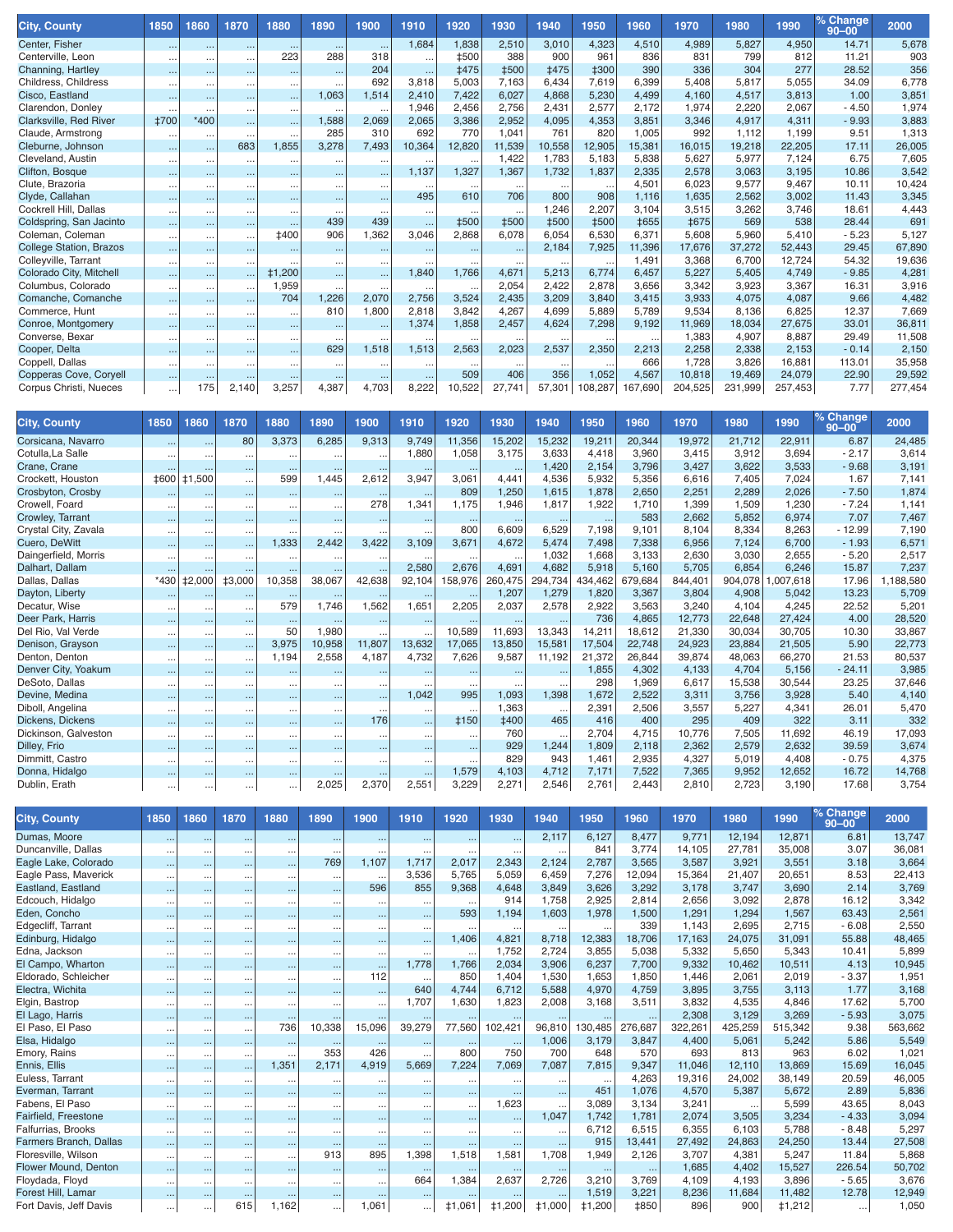| <b>City, County</b>     | 1850                 | 1860                 | 1870     | 1880          | 1890     | 1900     | 1910     | 1920        | 1930        | 1940        | 1950        | 1960        | 1970        | 1980    | 1990    | % Change<br>$90 - 00$ | 2000    |
|-------------------------|----------------------|----------------------|----------|---------------|----------|----------|----------|-------------|-------------|-------------|-------------|-------------|-------------|---------|---------|-----------------------|---------|
| Center, Fisher          | $\cdots$             | $\cdots$             | $\cdots$ | $\cdots$      | $\cdots$ |          | 1,684    | 1,838       | 2,510       | 3,010       | 4,323       | 4,510       | 4,989       | 5,827   | 4,950   | 14.71                 | 5,678   |
| Centerville, Leon       | $\cdots$             | $\cdots$             | $\cdots$ | 223           | 288      | 318      | $\cdots$ | <b>‡500</b> | 388         | 900         | 961         | 836         | 831         | 799     | 812     | 11.21                 | 903     |
| Channing, Hartley       | $\cdots$             |                      | $\cdots$ | $\cdots$      | $\cdots$ | 204      |          | <b>±475</b> | <b>‡500</b> | <b>‡475</b> | <b>‡300</b> | 390         | 336         | 304     | 277     | 28.52                 | 356     |
| Childress, Childress    | $\cdots$             |                      | $\cdots$ | $\cdots$      | $\cdots$ | 692      | 3,818    | 5,003       | 7,163       | 6,434       | 7,619       | 6,399       | 5.408       | 5.817   | 5,055   | 34.09                 | 6,778   |
| Cisco, Eastland         | $\cdots$             | $\cdots$             | $\cdots$ | $\cdots$      | 1,063    | 1,514    | 2,410    | 7,422       | 6.027       | 4,868       | 5,230       | 4,499       | 4.160       | 4.517   | 3.813   | 1.00                  | 3,851   |
| Clarendon, Donley       | $\cdots$             | $\cdots$             | $\cdots$ | $\cdots$      | $\cdots$ |          | 1,946    | 2.456       | 2,756       | 2,431       | 2,577       | 2.172       | 1.974       | 2,220   | 2.067   | $-4.50$               | 1,974   |
| Clarksville, Red River  | <b>‡700</b>          | *400                 | $\cdots$ | $\cdots$      | 1,588    | 2,069    | 2,065    | 3,386       | 2,952       | 4,095       | 4,353       | 3,851       | 3,346       | 4.917   | 4.311   | $-9.93$               | 3,883   |
| Claude, Armstrong       | $\ddot{\phantom{a}}$ |                      | $\cdots$ | $\cdots$      | 285      | 310      | 692      | 770         | 1,041       | 761         | 820         | 1,005       | 992         | 1.112   | 1.199   | 9.51                  | 1,313   |
| Cleburne, Johnson       | $\cdots$             | $\cdots$             | 683      | 1,855         | 3,278    | 7,493    | 10,364   | 12,820      | 11,539      | 10,558      | 12,905      | 15,381      | 16,015      | 19,218  | 22,205  | 17.11                 | 26,005  |
| Cleveland, Austin       | $\ddotsc$            | $\ddot{\phantom{a}}$ | $\cdots$ |               | $\cdots$ |          |          | $\cdots$    | 1.422       | 1.783       | 5.183       | 5.838       | 5.627       | 5.977   | 7.124   | 6.75                  | 7,605   |
| Clifton, Bosque         | $\cdots$             |                      | $\cdots$ | $\cdots$      | $\cdots$ |          | 1.137    | 1,327       | 1,367       | 1,732       | 1,837       | 2,335       | 2,578       | 3,063   | 3,195   | 10.86                 | 3,542   |
| Clute, Brazoria         | $\ddotsc$            |                      | $\cdots$ |               | $\cdots$ | $\cdots$ |          |             |             |             |             | 4.501       | 6.023       | 9,577   | 9.467   | 10.11                 | 10,424  |
| Clyde, Callahan         | $\cdots$             |                      | $\cdots$ | $\cdots$      | $\cdots$ | $\cdots$ | 495      | 610         | 706         | 800         | 908         | 1.116       | 1.635       | 2,562   | 3.002   | 11.43                 | 3,345   |
| Cockrell Hill, Dallas   |                      |                      | $\cdots$ | $\cdots$      | $\cdots$ |          |          | $\cdots$    | $\ddotsc$   | 1,246       | 2,207       | 3,104       | 3,515       | 3,262   | 3,746   | 18.61                 | 4,443   |
| Coldspring, San Jacinto | $\cdots$             |                      | $\cdots$ | $\cdots$      | 439      | 439      |          | <b>‡500</b> | <b>‡500</b> | <b>‡500</b> | <b>‡500</b> | <b>‡655</b> | <b>‡675</b> | 569     | 538     | 28.44                 | 691     |
| Coleman, Coleman        | $\cdots$             |                      | $\cdots$ | <b>‡400</b>   | 906      | 1,362    | 3.046    | 2,868       | 6,078       | 6,054       | 6,530       | 6.371       | 5.608       | 5.960   | 5.410   | $-5.23$               | 5,127   |
| College Station, Brazos | $\ddotsc$            |                      | $\cdots$ |               |          |          |          |             | $\sim$      | 2,184       | 7,925       | 11,396      | 17,676      | 37,272  | 52,443  | 29.45                 | 67,890  |
| Colleyville, Tarrant    | $\cdots$             |                      | $\cdots$ |               | $\cdots$ |          |          |             |             |             | $\cdots$    | 1.491       | 3.368       | 6.700   | 12.724  | 54.32                 | 19,636  |
| Colorado City, Mitchell | $\cdots$             | $\ddot{\phantom{0}}$ | $\cdots$ | <b>‡1,200</b> | $\cdots$ | $\cdots$ | 1.840    | 1.766       | 4,671       | 5,213       | 6.774       | 6,457       | 5.227       | 5,405   | 4.749   | $-9.85$               | 4,281   |
| Columbus, Colorado      |                      |                      | $\cdots$ | 1,959         | $\cdots$ |          |          | $\cdots$    | 2,054       | 2,422       | 2,878       | 3,656       | 3,342       | 3,923   | 3,367   | 16.31                 | 3,916   |
| Comanche, Comanche      | $\cdots$             |                      | $\cdots$ | 704           | 1,226    | 2,070    | 2,756    | 3,524       | 2,435       | 3,209       | 3.840       | 3,415       | 3.933       | 4.075   | 4.087   | 9.66                  | 4,482   |
| Commerce, Hunt          |                      |                      | $\cdots$ | $\cdots$      | 810      | 1.800    | 2,818    | 3.842       | 4,267       | 4.699       | 5,889       | 5.789       | 9.534       | 8.136   | 6.825   | 12.37                 | 7,669   |
| Conroe, Montgomery      |                      |                      | $\cdots$ |               |          |          | 1.374    | 1.858       | 2,457       | 4,624       | 7,298       | 9,192       | 11.969      | 18.034  | 27,675  | 33.01                 | 36,811  |
| Converse, Bexar         |                      |                      | $\cdots$ | $\cdots$      | $\cdots$ |          |          |             |             |             |             |             | 1.383       | 4,907   | 8.887   | 29.49                 | 11,508  |
| Cooper, Delta           | $\cdots$             | $\sim$               | $\cdots$ |               | 629      | 1.518    | 1.513    | 2.563       | 2,023       | 2,537       | 2,350       | 2,213       | 2.258       | 2.338   | 2.153   | $-0.14$               | 2,150   |
| Coppell, Dallas         |                      |                      | $\cdots$ |               |          |          |          |             |             |             | $\cdots$    | 666         | 1.728       | 3.826   | 16.881  | 113.01                | 35,958  |
| Copperas Cove, Coryell  | $\cdots$             |                      | $\cdots$ | $\cdots$      | $\cdots$ |          |          | 509         | 406         | 356         | 1,052       | 4,567       | 10,818      | 19,469  | 24.079  | 22.90                 | 29,592  |
| Corpus Christi, Nueces  | $\cdots$             | 175                  | 2,140    | 3,257         | 4,387    | 4,703    | 8,222    | 10,522      | 27,741      | 57,301      | 108,287     | 167,690     | 204,525     | 231,999 | 257,453 | 7.77                  | 277,454 |

| <b>City, County</b>  | 1850      | 1860               | 1870          | 1880                 | 1890     | 1900     | 1910     | 1920      | 1930        | 1940     | 1950     | 1960    | 1970    | 1980    | 1990     | % Change<br>$90 - 00$ | 2000     |
|----------------------|-----------|--------------------|---------------|----------------------|----------|----------|----------|-----------|-------------|----------|----------|---------|---------|---------|----------|-----------------------|----------|
| Corsicana, Navarro   | $\cdots$  | $\cdots$           | 80            | 3,373                | 6,285    | 9,313    | 9.749    | 11,356    | 15,202      | 15,232   | 19,211   | 20,344  | 19.972  | 21.712  | 22,911   | 6.87                  | 24,485   |
| Cotulla, La Salle    | $\cdots$  | $\cdots$           | $\cdots$      | $\ddotsc$            | $\cdots$ | $\cdots$ | 1,880    | 1,058     | 3,175       | 3,633    | 4,418    | 3,960   | 3.415   | 3.912   | 3,694    | $-2.17$               | 3,614    |
| Crane, Crane         | $\cdots$  |                    | $\cdots$      | $\sim$ $\sim$        |          | $\cdots$ | $\cdots$ | $\cdots$  | $\cdots$    | 1,420    | 2,154    | 3,796   | 3,427   | 3,622   | 3,533    | $-9.68$               | 3,191    |
| Crockett, Houston    |           | <b>‡600 ‡1,500</b> |               | 599                  | 1,445    | 2,612    | 3,947    | 3,061     | 4,441       | 4,536    | 5,932    | 5,356   | 6,616   | 7,405   | 7,024    | 1.67                  | 7,141    |
| Crosbyton, Crosby    |           |                    | $\cdots$      | $\sim$               | $\cdots$ | $\cdots$ | $\cdots$ | 809       | 1,250       | 1,615    | 1,878    | 2,650   | 2,251   | 2,289   | 2,026    | $-7.50$               | 1,874    |
| Crowell, Foard       | $\cdots$  |                    |               | $\ddotsc$            | $\cdots$ | 278      | 1.341    | 1.175     | 1,946       | 1.817    | 1,922    | 1.710   | 1.399   | 1.509   | 1.230    | $-7.24$               | 1,141    |
| Crowley, Tarrant     | $\cdots$  |                    | $\cdots$      | $\cdots$             | $\cdots$ |          |          | $\cdots$  | $\cdots$    | $\cdots$ | $\cdots$ | 583     | 2.662   | 5.852   | 6.974    | 7.07                  | 7,467    |
| Crystal City, Zavala |           |                    | $\cdots$      | $\ddotsc$            | $\cdots$ |          | $\cdots$ | 800       | 6,609       | 6,529    | 7,198    | 9.101   | 8.104   | 8.334   | 8,263    | $-12.99$              | 7,190    |
| Cuero, DeWitt        | $\cdots$  |                    | $\cdots$      | 1,333                | 2,442    | 3,422    | 3,109    | 3,671     | 4,672       | 5,474    | 7,498    | 7,338   | 6,956   | 7,124   | 6,700    | $-1.93$               | 6,571    |
| Daingerfield, Morris | $\cdots$  |                    | $\cdots$      | $\ddot{\phantom{a}}$ | $\cdots$ |          | $\cdots$ | $\cdots$  | $\cdots$    | 1,032    | 1.668    | 3.133   | 2.630   | 3.030   | 2,655    | $-5.20$               | 2,517    |
| Dalhart, Dallam      | $\cdots$  |                    | $\cdots$      | $\ddotsc$            | $\cdots$ |          | 2,580    | 2,676     | 4,691       | 4,682    | 5,918    | 5,160   | 5.705   | 6.854   | 6,246    | 15.87                 | 7,237    |
| Dallas, Dallas       | *430      | ‡2,000             | <b>‡3,000</b> | 10,358               | 38,067   | 42,638   | 92,104   | 158,976   | 260,475     | 294,734  | 434,462  | 679,684 | 844,401 | 904.078 | .007.618 | 17.96                 | ,188,580 |
| Dayton, Liberty      | $\sim$    |                    | $\cdots$      |                      |          | $\cdots$ | $\cdots$ | $\cdots$  | 1,207       | 1,279    | 1.820    | 3.367   | 3.804   | 4.908   | 5.042    | 13.23                 | 5,709    |
| Decatur, Wise        |           |                    | $\cdots$      | 579                  | 1,746    | 1.562    | 1.651    | 2,205     | 2,037       | 2,578    | 2,922    | 3.563   | 3.240   | 4.104   | 4,245    | 22.52                 | 5,201    |
| Deer Park, Harris    | $\cdots$  | $\cdots$           | $\cdots$      | $\cdots$             |          | $\cdots$ |          |           |             | $\cdots$ | 736      | 4,865   | 12,773  | 22,648  | 27,424   | 4.00                  | 28,520   |
| Del Rio, Val Verde   | $\cdots$  |                    | $\cdots$      | 50                   | 1,980    |          |          | 10,589    | 11,693      | 13,343   | 14,211   | 18,612  | 21,330  | 30,034  | 30.705   | 10.30                 | 33,867   |
| Denison, Grayson     | $\cdots$  |                    | $\cdots$      | 3.975                | 10,958   | 11,807   | 13,632   | 17,065    | 13,850      | 15.581   | 17,504   | 22,748  | 24.923  | 23.884  | 21.505   | 5.90                  | 22,773   |
| Denton, Denton       |           |                    | $\cdots$      | 1,194                | 2,558    | 4.187    | 4.732    | 7,626     | 9,587       | 11.192   | 21,372   | 26,844  | 39.874  | 48.063  | 66.270   | 21.53                 | 80,537   |
| Denver City, Yoakum  | $\cdots$  | $\cdots$           | $\cdots$      |                      |          |          |          |           |             | $\cdots$ | 1,855    | 4.302   | 4.133   | 4.704   | 5.156    | $-24.11$              | 3,985    |
| DeSoto, Dallas       |           |                    |               | $\ddotsc$            | $\cdots$ |          |          |           | $\cdots$    |          | 298      | 1.969   | 6.617   | 15.538  | 30.544   | 23.25                 | 37,646   |
| Devine, Medina       | $\cdots$  |                    | $\cdots$      | $\cdots$             | $\cdots$ | $\cdots$ | 1,042    | 995       | 1,093       | 1,398    | 1.672    | 2,522   | 3,311   | 3,756   | 3,928    | 5.40                  | 4,140    |
| Diboll, Angelina     | $\cdots$  | $\cdots$           | $\cdots$      | $\ddot{\phantom{a}}$ | $\cdots$ | $\cdots$ |          | $\cdots$  | 1,363       | $\cdots$ | 2,391    | 2,506   | 3,557   | 5,227   | 4,341    | 26.01                 | 5,470    |
| Dickens, Dickens     | $\cdots$  |                    | $\cdots$      | $\cdots$             | $\cdots$ | 176      |          | $\pm 150$ | <b>‡400</b> | 465      | 416      | 400     | 295     | 409     | 322      | 3.11                  | 332      |
| Dickinson, Galveston | $\cdots$  | $\cdots$           |               | $\cdots$             | $\cdots$ | $\cdots$ |          |           | 760         |          | 2.704    | 4,715   | 10.776  | 7,505   | 11,692   | 46.19                 | 17,093   |
| Dilley, Frio         | $\cdots$  | $\cdots$           | $\cdots$      | $\cdots$             | $\cdots$ | $\cdots$ |          | $\cdots$  | 929         | 1,244    | 1,809    | 2,118   | 2,362   | 2,579   | 2,632    | 39.59                 | 3,674    |
| Dimmitt, Castro      | $\cdots$  |                    |               | $\ddotsc$            |          |          |          |           | 829         | 943      | 1,461    | 2,935   | 4,327   | 5,019   | 4,408    | $-0.75$               | 4,375    |
| Donna, Hidalgo       | $\ddotsc$ |                    |               |                      |          |          |          | 1,579     | 4,103       | 4,712    | 7,171    | 7,522   | 7,365   | 9,952   | 12,652   | 16.72                 | 14,768   |
| Dublin, Erath        | $\cdots$  |                    |               |                      | 2,025    | 2,370    | 2,551    | 3,229     | 2,271       | 2,546    | 2.761    | 2.443   | 2,810   | 2.723   | 3.190    | 17.68                 | 3,754    |

| <b>City, County</b>    | 1850      | 1860                 | 1870     | 1880      | 1890     | 1900     | 1910     | 1920          | 1930                 | 1940     | 1950          | 1960        | 1970    | 1980    | 1990          | % Change<br>$90 - 00$ | 2000    |
|------------------------|-----------|----------------------|----------|-----------|----------|----------|----------|---------------|----------------------|----------|---------------|-------------|---------|---------|---------------|-----------------------|---------|
| Dumas, Moore           |           |                      | $\cdots$ |           |          |          |          |               | $\sim$               | 2,117    | 6,127         | 8,477       | 9.771   | 12.194  | 12.871        | 6.81                  | 13,747  |
| Duncanville, Dallas    | $\cdots$  |                      | $\cdots$ | $\cdots$  | $\cdots$ |          |          |               |                      |          | 841           | 3.774       | 14.105  | 27.781  | 35,008        | 3.07                  | 36,081  |
| Eagle Lake, Colorado   | $\ddotsc$ | $\cdots$             | $\cdots$ | $\cdots$  | 769      | 1,107    | 1,717    | 2,017         | 2,343                | 2,124    | 2,787         | 3,565       | 3,587   | 3,921   | 3,551         | 3.18                  | 3,664   |
| Eagle Pass, Maverick   | $\cdots$  |                      | $\cdots$ | $\ddotsc$ | $\cdots$ |          | 3,536    | 5.765         | 5,059                | 6,459    | 7,276         | 12,094      | 15,364  | 21,407  | 20,651        | 8.53                  | 22,413  |
| Eastland, Eastland     | $\cdots$  |                      | $\cdots$ | $\ddotsc$ |          | 596      | 855      | 9,368         | 4,648                | 3,849    | 3,626         | 3,292       | 3,178   | 3.747   | 3,690         | 2.14                  | 3,769   |
| Edcouch, Hidalgo       | $\cdots$  | $\ddotsc$            | $\cdots$ | $\cdots$  | $\cdots$ | $\cdots$ |          |               | 914                  | 1,758    | 2,925         | 2.814       | 2,656   | 3,092   | 2,878         | 16.12                 | 3,342   |
| Eden, Concho           | $\cdots$  |                      | $\cdots$ |           | $\cdots$ | $\cdots$ |          | 593           | 1,194                | 1,603    | 1,978         | 1,500       | 1,291   | 1,294   | 1,567         | 63.43                 | 2,561   |
| Edgecliff, Tarrant     | $\cdots$  |                      | $\cdots$ |           |          | $\cdots$ |          |               |                      |          |               | 339         | 1,143   | 2,695   | 2,715         | $-6.08$               | 2,550   |
| Edinburg, Hidalgo      | $\cdots$  |                      | $\cdots$ | $\ddotsc$ | $\cdots$ | $\cdots$ |          | 1,406         | 4,821                | 8,718    | 12,383        | 18,706      | 17,163  | 24,075  | 31,091        | 55.88                 | 48,465  |
| Edna, Jackson          | $\cdots$  | $\ddot{\phantom{a}}$ | $\cdots$ | $\cdots$  | $\cdots$ | $\cdots$ |          | $\cdots$      | 1,752                | 2,724    | 3,855         | 5,038       | 5,332   | 5,650   | 5,343         | 10.41                 | 5,899   |
| El Campo, Wharton      | $\cdots$  | $\ddot{\phantom{0}}$ | $\cdots$ | $\ddotsc$ | $\cdots$ | $\cdots$ | 1.778    | 1.766         | 2,034                | 3,906    | 6,237         | 7.700       | 9,332   | 10,462  | 10,511        | 4.13                  | 10,945  |
| Eldorado, Schleicher   | $\cdots$  |                      | $\cdots$ | $\cdots$  | $\cdots$ | 112      |          | 850           | 1.404                | 1,530    | 1,653         | 1.850       | 1,446   | 2,061   | 2,019         | $-3.37$               | 1,951   |
| Electra, Wichita       | $\cdots$  | $\cdots$             | $\cdots$ | $\cdots$  | $\cdots$ | $\cdots$ | 640      | 4.744         | 6,712                | 5,588    | 4.970         | 4,759       | 3.895   | 3,755   | 3,113         | 1.77                  | 3,168   |
| Elgin, Bastrop         | $\cdots$  | $\ddot{\phantom{a}}$ | $\cdots$ | $\cdots$  | $\cdots$ | $\cdots$ | 1.707    | 1.630         | 1,823                | 2,008    | 3.168         | 3.511       | 3.832   | 4.535   | 4.846         | 17.62                 | 5.700   |
| El Lago, Harris        | $\cdots$  |                      | $\cdots$ |           |          |          |          |               |                      |          |               |             | 2,308   | 3.129   | 3.269         | $-5.93$               | 3,075   |
| El Paso, El Paso       | $\cdots$  | $\ddot{\phantom{a}}$ | $\cdots$ | 736       | 10,338   | 15,096   | 39,279   | 77,560        | 102,421              | 96,810   | 30.485        | 276,687     | 322,261 | 425.259 | 515.342       | 9.38                  | 563.662 |
| Elsa, Hidalgo          | $\cdots$  | $\cdots$             | $\cdots$ | $\cdots$  |          |          |          | $\cdots$      | $\cdots$             | 1,006    | 3.179         | 3,847       | 4.400   | 5,061   | 5.242         | 5.86                  | 5.549   |
| Emory, Rains           | $\cdots$  |                      | $\cdots$ | $\cdots$  | 353      | 426      |          | 800           | 750                  | 700      | 648           | 570         | 693     | 813     | 963           | 6.02                  | 1,021   |
| Ennis, Ellis           | $\cdots$  |                      | $\cdots$ | 1.351     | 2,171    | 4,919    | 5.669    | 7,224         | 7,069                | 7.087    | 7.815         | 9.347       | 11.046  | 12.110  | 13.869        | 15.69                 | 16,045  |
| Euless, Tarrant        | $\cdots$  | $\ddot{\phantom{a}}$ | $\cdots$ | $\cdots$  | $\cdots$ | $\cdots$ |          | $\cdots$      | $\cdots$             | $\cdots$ | $\cdots$      | 4.263       | 19.316  | 24,002  | 38,149        | 20.59                 | 46,005  |
| Everman, Tarrant       | $\cdots$  | $\cdots$             | $\cdots$ | $\cdots$  | $\cdots$ | $\cdots$ | $\cdots$ |               | $\cdots$             | $\cdots$ | 451           | 1.076       | 4.570   | 5.387   | 5.672         | 2.89                  | 5,836   |
| Fabens, El Paso        | $\cdots$  | $\ddot{\phantom{a}}$ | $\cdots$ | $\cdots$  | $\cdots$ | $\cdots$ | $\cdots$ | $\cdots$      | 1,623                | $\cdots$ | 3.089         | 3.134       | 3.241   |         | 5,599         | 43.65                 | 8.043   |
| Fairfield, Freestone   | $\cdots$  | $\cdots$             | $\cdots$ | $\cdots$  | $\cdots$ | $\cdots$ |          |               | $\cdots$             | 1,047    | 1.742         | 1,781       | 2,074   | 3,505   | 3,234         | $-4.33$               | 3,094   |
| Falfurrias, Brooks     | $\cdots$  |                      | $\cdots$ | $\cdots$  | $\cdots$ | $\cdots$ |          |               | $\ddot{\phantom{a}}$ | $\cdots$ | 6.712         | 6.515       | 6.355   | 6.103   | 5,788         | $-8.48$               | 5,297   |
| Farmers Branch, Dallas | $\ddotsc$ | $\ddot{\phantom{0}}$ | $\cdots$ | $\ddotsc$ | $\cdots$ | $\cdots$ | $\cdots$ | $\cdots$      | $\cdots$             | $\cdots$ | 915           | 13,441      | 27,492  | 24,863  | 24,250        | 13.44                 | 27,508  |
| Floresville, Wilson    | $\cdots$  | $\ddot{\phantom{a}}$ | $\cdots$ | $\cdots$  | 913      | 895      | 1.398    | 1,518         | 1,581                | 1,708    | 1,949         | 2,126       | 3.707   | 4.381   | 5,247         | 11.84                 | 5,868   |
| Flower Mound, Denton   | $\cdots$  | $\cdots$             | $\cdots$ | $\cdots$  | $\cdots$ | $\cdots$ | $\cdots$ | $\cdots$      | $\cdots$             | $\cdots$ | $\cdots$      | $\cdots$    | 1,685   | 4,402   | 15,527        | 226.54                | 50,702  |
| Floydada, Floyd        | $\cdots$  | $\ddot{\phantom{a}}$ | $\cdots$ | $\cdots$  | $\cdots$ | $\cdots$ | 664      | 1,384         | 2,637                | 2,726    | 3,210         | 3,769       | 4,109   | 4,193   | 3,896         | $-5.65$               | 3,676   |
| Forest Hill, Lamar     |           |                      | $\cdots$ |           | $\cdots$ |          |          |               |                      |          | 1,519         | 3,221       | 8,236   | 11,684  | 11,482        | 12.78                 | 12,949  |
| Fort Davis, Jeff Davis |           | $\cdots$             | 615      | 1,162     | $\cdots$ | 1,061    | $\cdots$ | <b>‡1,061</b> | <b>‡1,200</b>        | ±1,000   | <b>‡1,200</b> | <b>‡850</b> | 896     | 900     | <b>‡1,212</b> | $\cdots$              | 1,050   |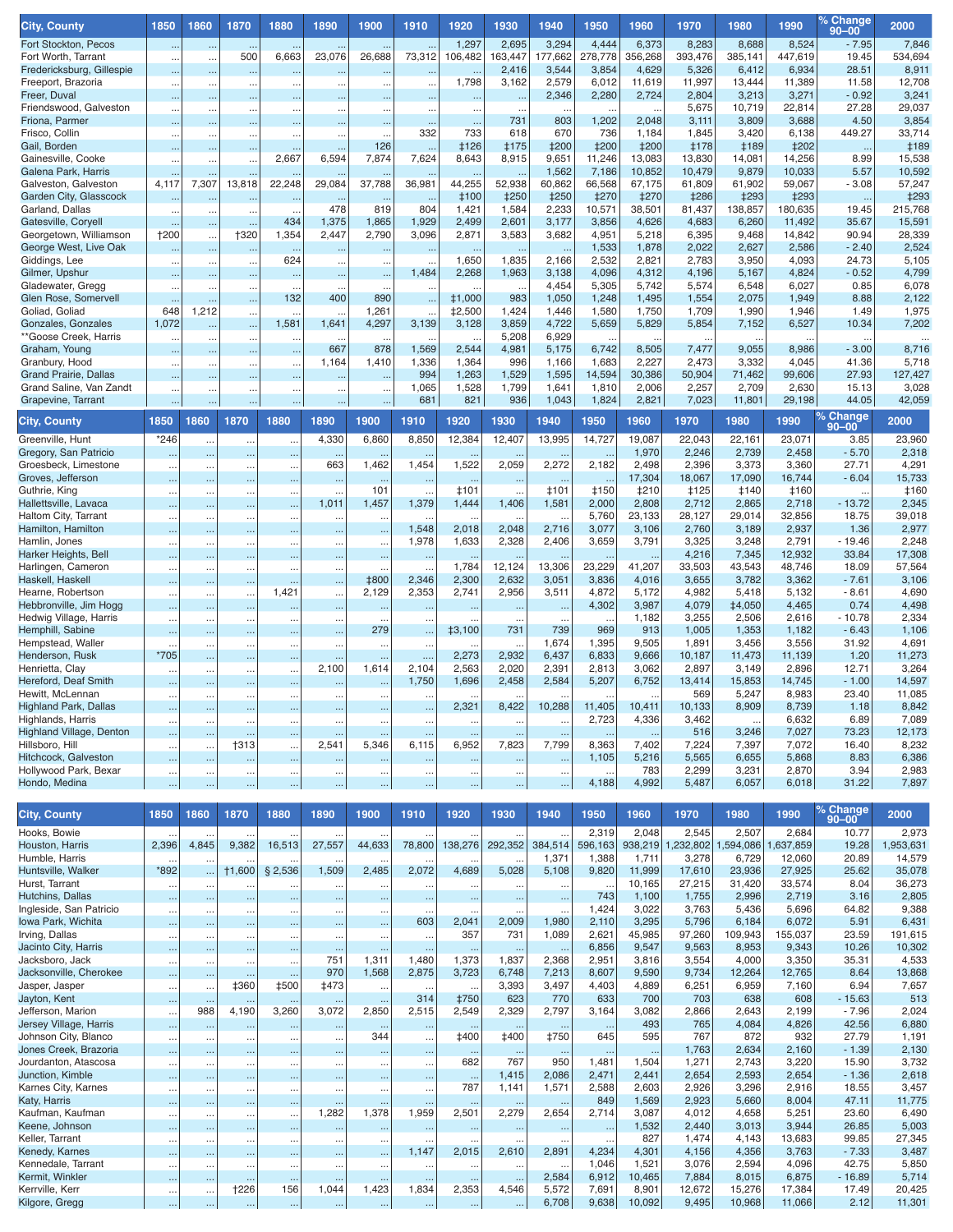| <b>City, County</b>                              | 1850                                         | 1860                   | 1870                   | 1880                              | 1890                   | 1900                   | 1910                              | 1920                    | 1930                           | 1940                     | 1950                     | 1960                 | 1970                 | 1980                 | 1990                 | <u>% Change</u><br>$90 - 00$ | 2000                  |
|--------------------------------------------------|----------------------------------------------|------------------------|------------------------|-----------------------------------|------------------------|------------------------|-----------------------------------|-------------------------|--------------------------------|--------------------------|--------------------------|----------------------|----------------------|----------------------|----------------------|------------------------------|-----------------------|
| Fort Stockton, Pecos                             |                                              | $\cdots$               |                        |                                   |                        |                        |                                   | 1,297                   | 2,695                          | 3,294                    | 4,444                    | 6,373                | 8,283                | 8,688                | 8,524                | $-7.95$                      | 7,846                 |
| Fort Worth, Tarrant                              |                                              | $\ldots$               | 500                    | 6,663                             | 23,076                 | 26,688                 | 73,312                            | 106,482                 | 163,447                        | 177,662                  | 278,778                  | 356,268              | 393,476              | 385,141              | 447,619              | 19.45                        | 534,694               |
| Fredericksburg, Gillespie<br>Freeport, Brazoria  |                                              | $\cdots$               | $\sim$                 | $\cdots$                          | $\sim$                 |                        |                                   | 1,798                   | 2,416<br>3,162                 | 3,544<br>2,579           | 3,854<br>6,012           | 4,629<br>11,619      | 5,326<br>11,997      | 6,412<br>13,444      | 6,934<br>11,389      | 28.51<br>11.58               | 8,911<br>12,708       |
| Freer, Duval                                     | <br>                                         | $\ldots$<br>$\ddotsc$  | $\ldots$               | $\ddotsc$<br>$\ddotsc$            | $\ldots$<br>$\ddotsc$  | $\ldots$<br>$\ddotsc$  | $\ddotsc$<br>$\ddotsc$            | $\ddotsc$               | $\ddotsc$                      | 2,346                    | 2,280                    | 2,724                | 2,804                | 3,213                | 3,271                | $-0.92$                      | 3,241                 |
| Friendswood, Galveston                           |                                              | $\cdots$               | $\ddotsc$              | $\ddotsc$                         | $\cdots$               | $\ldots$               | $\ddots$                          | $\ddot{\phantom{0}}$    | $\ddot{\phantom{0}}$           |                          |                          |                      | 5,675                | 10,719               | 22,814               | 27.28                        | 29,037                |
| Friona, Parmer                                   |                                              | $\cdots$               | $\cdots$               |                                   | $\ddotsc$              | $\ddotsc$              | $\ddotsc$                         | $\sim$                  | 731                            | 803                      | 1,202                    | 2,048                | 3,111                | 3,809                | 3,688                | 4.50                         | 3,854                 |
| Frisco, Collin<br>Gail, Borden                   |                                              | $\ddots$               |                        | $\ddotsc$                         |                        | 126                    | 332                               | 733<br><b>‡126</b>      | 618<br><b>‡175</b>             | 670<br><b>‡200</b>       | 736<br><b>‡200</b>       | 1,184<br><b>‡200</b> | 1,845<br><b>‡178</b> | 3,420<br><b>‡189</b> | 6,138<br><b>‡202</b> | 449.27                       | 33,714<br><b>‡189</b> |
| Gainesville, Cooke                               | $\ddotsc$<br>                                | $\cdots$<br>$\ldots$   | $\sim$<br>$\ddotsc$    | 2,667                             | $\cdots$<br>6,594      | 7,874                  | $\ddotsc$<br>7,624                | 8,643                   | 8,915                          | 9,651                    | 11,246                   | 13,083               | 13,830               | 14,081               | 14,256               | $\ddotsc$<br>8.99            | 15,538                |
| Galena Park, Harris                              |                                              | $\cdots$               |                        |                                   |                        |                        |                                   |                         |                                | 1,562                    | 7,186                    | 10,852               | 10,479               | 9,879                | 10,033               | 5.57                         | 10,592                |
| Galveston, Galveston                             | 4,117                                        | 7,307                  | 13,818                 | 22,248                            | 29,084                 | 37,788                 | 36,981                            | 44,255                  | 52,938                         | 60,862                   | 66,568                   | 67,175               | 61,809               | 61,902               | 59,067               | $-3.08$                      | 57,247                |
| Garden City, Glasscock                           |                                              |                        |                        |                                   |                        |                        | $\sim$                            | <b>‡100</b>             | <b>‡250</b>                    | <b>‡250</b>              | <b>‡270</b>              | <b>‡270</b>          | <b>‡286</b>          | <b>‡293</b>          | <b>‡293</b>          | $\ddotsc$                    | <b>‡293</b>           |
| Garland, Dallas<br>Gatesville, Coryell           | $\ddotsc$                                    | $\ddots$<br>$\ddotsc$  | $\ldots$<br>$\ldots$   | 434                               | 478<br>1,375           | 819<br>1,865           | 804<br>1,929                      | 1,421<br>2,499          | 1,584<br>2,601                 | 2,233<br>3,177           | 10,571<br>3,856          | 38,501<br>4,626      | 81,437<br>4,683      | 138,857<br>6,260     | 180,635<br>11,492    | 19.45<br>35.67               | 215,768<br>15,591     |
| Georgetown, Williamson                           | <b>†200</b>                                  | $\ddotsc$              | +320                   | 1,354                             | 2,447                  | 2,790                  | 3,096                             | 2,871                   | 3,583                          | 3,682                    | 4,951                    | 5,218                | 6,395                | 9,468                | 14,842               | 90.94                        | 28,339                |
| George West, Live Oak                            |                                              | $\cdots$               | $\ldots$               | $\ldots$                          | $\cdots$               | $\ddotsc$              |                                   | $\ldots$                | $\ddotsc$                      | $\ldots$                 | 1,533                    | 1,878                | 2,022                | 2,627                | 2,586                | $-2.40$                      | 2,524                 |
| Giddings, Lee                                    |                                              | $\ddotsc$              | $\ldots$               | 624                               | $\ddotsc$              | $\ldots$               |                                   | 1,650                   | 1,835                          | 2,166                    | 2,532                    | 2,821                | 2,783                | 3,950                | 4,093                | 24.73                        | 5,105                 |
| Gilmer, Upshur<br>Gladewater, Gregg              |                                              |                        |                        | $\ddotsc$                         | $\ddotsc$              | $\ddotsc$              | 1,484                             | 2,268                   | 1,963                          | 3,138<br>4,454           | 4,096<br>5,305           | 4,312<br>5,742       | 4,196<br>5,574       | 5,167<br>6,548       | 4,824<br>6,027       | $-0.52$<br>0.85              | 4,799<br>6,078        |
| Glen Rose, Somervell                             | $\ldots$<br>$\ldots$                         | $\cdots$<br>$\ldots$   | $\ldots$<br>$\ddotsc$  | $\ddotsc$<br>132                  | $\ldots$<br>400        | $\cdot$<br>890         | $\ddotsc$                         | <b>‡1,000</b>           | $\ddotsc$<br>983               | 1,050                    | 1,248                    | 1,495                | 1,554                | 2,075                | 1,949                | 8.88                         | 2,122                 |
| Goliad, Goliad                                   | 648                                          | 1,212                  | $\ddotsc$              |                                   | $\ddotsc$              | 1,261                  |                                   | <b>‡2,500</b>           | 1,424                          | 1,446                    | 1,580                    | 1,750                | 1,709                | 1,990                | 1,946                | 1.49                         | 1,975                 |
| Gonzales, Gonzales                               | 1,072                                        | $\cdots$               | $\sim$                 | 1,581                             | 1,641                  | 4,297                  | 3,139                             | 3,128                   | 3,859                          | 4,722                    | 5,659                    | 5,829                | 5,854                | 7,152                | 6,527                | 10.34                        | 7,202                 |
| **Goose Creek, Harris                            | $\cdots$                                     | $\ldots$               | $\ddotsc$              | $\ddotsc$                         |                        | $\ddot{\phantom{0}}$   |                                   | $\ddotsc$               | 5,208                          | 6,929                    |                          | $\ddotsc$            |                      |                      |                      | $\ddot{\phantom{0}}$         |                       |
| Graham, Young<br>Granbury, Hood                  | $\ddotsc$                                    | $\cdots$               | $\cdots$               | $\ddotsc$                         | 667<br>1,164           | 878<br>1,410           | 1,569<br>1,336                    | 2,544<br>1,364          | 4,981<br>996                   | 5,175<br>1,166           | 6,742<br>1,683           | 8,505<br>2,227       | 7,477<br>2,473       | 9,055<br>3,332       | 8,986<br>4,045       | $-3.00$<br>41.36             | 8,716<br>5,718        |
| <b>Grand Prairie, Dallas</b>                     | $\ddotsc$<br>                                | <br>$\ddotsc$          |                        | <br>$\ddotsc$                     | $\sim$                 | $\ldots$               | 994                               | 1,263                   | 1,529                          | 1,595                    | 14,594                   | 30,386               | 50,904               | 71,462               | 99,606               | 27.93                        | 127,427               |
| Grand Saline, Van Zandt                          |                                              |                        | $\ddotsc$              |                                   |                        | $\ddot{\phantom{0}}$   | 1,065                             | 1,528                   | 1,799                          | 1,641                    | 1,810                    | 2,006                | 2,257                | 2,709                | 2,630                | 15.13                        | 3,028                 |
| Grapevine, Tarrant                               |                                              | $\ddotsc$              |                        |                                   | ä,                     | $\ddotsc$              | 681                               | 821                     | 936                            | 1,043                    | 1,824                    | 2,821                | 7,023                | 11,801               | 29,198               | 44.05                        | 42,059                |
| <b>City, County</b>                              | 1850                                         | 1860                   | 1870                   | 1880                              | 1890                   | 1900                   | 1910                              | 1920                    | 1930                           | 1940                     | 1950                     | 1960                 | 1970                 | 1980                 | 1990                 | % Change<br>$90 - 00$        | 2000                  |
| Greenville, Hunt                                 | *246                                         | $\ddotsc$              |                        | $\ddotsc$                         | 4,330                  | 6,860                  | 8,850                             | 12,384                  | 12,407                         | 13,995                   | 14,727                   | 19,087               | 22,043               | 22,161               | 23,071               | 3.85                         | 23,960                |
| Gregory, San Patricio                            | $\ddotsc$                                    | $\sim$                 |                        | $\ddotsc$                         | $\cdots$               |                        |                                   | $\cdots$                |                                | $\ddotsc$                | $\cdots$                 | 1,970                | 2,246                | 2,739                | 2,458                | $-5.70$                      | 2,318                 |
| Groesbeck, Limestone                             | $\ddot{\phantom{0}}$                         | $\ddotsc$              |                        | $\ddotsc$                         | 663                    | 1,462                  | 1,454                             | 1,522                   | 2,059                          | 2,272                    | 2,182                    | 2,498                | 2,396                | 3,373                | 3,360                | 27.71                        | 4,291                 |
| Groves, Jefferson                                | $\ddotsc$                                    | $\ddotsc$              | $\ddotsc$              | $\ddotsc$                         | $\ddotsc$              |                        |                                   | $\ldots$                | $\ddotsc$                      | $\ldots$                 | $\ddotsc$<br><b>‡150</b> | 17,304               | 18,067               | 17,090               | 16,744               | $-6.04$                      | 15,733                |
| Guthrie, King<br>Hallettsville, Lavaca           | $\ddotsc$                                    | $\ddotsc$<br>$\ddotsc$ | $\cdots$               | $\ddotsc$<br>$\ddotsc$            | $\ldots$<br>1,011      | 101<br>1,457           | $\ddot{\phantom{0}}$<br>1,379     | <b>‡101</b><br>1,444    | $\ddot{\phantom{0}}$<br>1,406  | <b>‡101</b><br>1,581     | 2,000                    | <b>‡210</b><br>2,808 | <b>‡125</b><br>2,712 | <b>‡140</b><br>2,865 | <b>‡160</b><br>2,718 | $-13.72$                     | <b>‡160</b><br>2,345  |
| Haltom City, Tarrant                             | $\ddotsc$<br>$\ddot{\phantom{0}}$            |                        | <br>                   | $\ddot{\phantom{0}}$              |                        | $\ldots$               |                                   |                         |                                |                          | 5,760                    | 23,133               | 28,127               | 29,014               | 32,856               | 18.75                        | 39,018                |
| Hamilton, Hamilton                               | $\ddotsc$                                    | $\ddotsc$              | $\ddotsc$              | $\ddotsc$                         | $\ddotsc$              | $\ddotsc$              | 1,548                             | 2,018                   | 2,048                          | 2,716                    | 3,077                    | 3,106                | 2,760                | 3,189                | 2,937                | 1.36                         | 2,977                 |
| Hamlin, Jones                                    | $\ddot{\phantom{0}}$                         | $\ddotsc$              | $\cdots$               | .,                                | $\cdots$               | $\ddotsc$              | 1,978                             | 1,633                   | 2,328                          | 2,406                    | 3,659                    | 3,791                | 3,325                | 3,248                | 2,791                | $-19.46$                     | 2,248                 |
| Harker Heights, Bell<br>Harlingen, Cameron       | $\ldots$                                     | $\cdots$               | $\ddotsc$              | $\ddotsc$                         | $\ddotsc$              | $\sim$                 | и.                                | $\ldots$<br>1,784       | 12,124                         | 13,306                   | 23,229                   | 41,207               | 4,216<br>33,503      | 7,345<br>43,543      | 12,932<br>48,746     | 33.84<br>18.09               | 17,308<br>57,564      |
| Haskell, Haskell                                 | $\ddot{\phantom{0}}$<br>$\ddotsc$            | $\ddotsc$<br>$\ddotsc$ | $\ddotsc$<br>$\ddotsc$ | $\ddot{\phantom{0}}$<br>$\ddotsc$ | $\ddotsc$<br>$\ddotsc$ | $\sim$<br><b>‡800</b>  | 2,346                             | 2,300                   | 2,632                          | 3,051                    | 3,836                    | 4,016                | 3,655                | 3,782                | 3,362                | $-7.61$                      | 3,106                 |
| Hearne, Robertson                                | $\ddot{\phantom{0}}$                         | $\ldots$               | $\cdots$               | 1,421                             | $\ldots$               | 2,129                  | 2,353                             | 2,741                   | 2,956                          | 3,511                    | 4,872                    | 5,172                | 4,982                | 5,418                | 5,132                | $-8.61$                      | 4,690                 |
| Hebbronville, Jim Hogg                           | $\ddotsc$                                    | $\ddotsc$              | $\ddotsc$              |                                   | $\cdots$               | $\ddotsc$              | $\ddotsc$                         |                         | ÷.                             | $\ldots$                 | 4,302                    | 3,987                | 4,079                | <b>‡4,050</b>        | 4,465                | 0.74                         | 4,498                 |
| Hedwig Village, Harris                           | $\ddotsc$                                    | $\ddotsc$              | $\ddotsc$              | $\ddotsc$                         | $\ddots$               | $\ddotsc$<br>279       | $\ddotsc$                         | $\ddotsc$               | $\sim$                         | $\ddotsc$                | $\ldots$<br>969          | 1,182<br>913         | 3,255                | 2,506                | 2,616                | $-10.78$                     | 2,334                 |
| Hemphill, Sabine<br>Hempstead, Waller            | $\ddot{\phantom{0}}$<br>$\ddot{\phantom{a}}$ | $\ddotsc$<br>$\cdot$   | <br>$\ddotsc$          | $\ddotsc$<br>$\ddotsc$            | $\ddotsc$<br>$\ddotsc$ | $\sim$                 | $\ddotsc$<br>$\ddotsc$            | $\pm 3,100$             | 731<br>$\ddotsc$               | 739<br>1,674             | 1,395                    | 9,505                | 1,005<br>1,891       | 1,353<br>3,456       | 1,182<br>3,556       | $-6.43$<br>31.92             | 1,106<br>4,691        |
| Henderson, Rusk                                  | *705                                         |                        |                        | $\ddotsc$                         | $\ldots$               | $\ldots$               | $\cdots$                          | 2,273                   | 2,932                          | 6,437                    | 6,833                    | 9,666                | 10,187               | 11,473               | 11,139               | 1.20                         | 11,273                |
| Henrietta, Clay                                  | $\ddot{\phantom{0}}$                         | $\ddotsc$              |                        | $\ddotsc$                         | 2,100                  | 1,614                  | 2,104                             | 2,563                   | 2,020                          | 2,391                    | 2,813                    | 3,062                | 2,897                | 3,149                | 2,896                | 12.71                        | 3,264                 |
| Hereford, Deaf Smith                             | $\ddotsc$                                    | $\sim$                 |                        | $\ddotsc$                         |                        | $\ddotsc$              | 1,750                             | 1,696                   | 2,458                          | 2,584                    | 5,207                    | 6,752                | 13,414               | 15,853               | 14,745               | $-1.00$                      | 14,597                |
| Hewitt, McLennan<br><b>Highland Park, Dallas</b> | $\ddotsc$                                    | $\ddotsc$<br>$\ddotsc$ | $\ddotsc$              | Ω.                                |                        | $\ddotsc$              |                                   | $\ddotsc$<br>2,321      | 8,422                          | 10,288                   | $\ddotsc$<br>11,405      | 10,411               | 569<br>10,133        | 5,247<br>8,909       | 8,983<br>8,739       | 23.40<br>1.18                | 11,085<br>8,842       |
| Highlands, Harris                                | $\ddotsc$<br>$\ddot{\phantom{0}}$            | $\cdots$               | <br>                   | <br>$\cdots$                      | <br>$\ddots$           | $\ddotsc$<br>$\ddotsc$ | $\cdots$                          | $\cdots$                | $\cdots$                       | $\cdots$                 | 2,723                    | 4,336                | 3,462                |                      | 6,632                | 6.89                         | 7,089                 |
| Highland Village, Denton                         | $\ddotsc$                                    | $\ldots$               | $\ldots$               | $\cdots$                          | $\ddotsc$              | $\cdots$               | $\ddotsc$                         | $\ddotsc$               | $\sim$                         | $\ddotsc$                | $\ldots$                 | $\sim$               | 516                  | 3,246                | 7,027                | 73.23                        | 12,173                |
| Hillsboro, Hill                                  | $\ddot{\phantom{0}}$                         | $\ldots$               | †313                   | $\ddotsc$                         | 2,541                  | 5,346                  | 6,115                             | 6,952                   | 7,823                          | 7,799                    | 8,363                    | 7,402                | 7,224                | 7,397                | 7,072                | 16.40                        | 8,232                 |
| Hitchcock, Galveston<br>Hollywood Park, Bexar    | $\ddotsc$                                    | $\sim$                 | Ω,                     | $\ddotsc$                         | $\ddotsc$              | $\sim$                 | $\ldots$                          | $\ddotsc$               | $\sim$                         | $\ddotsc$                | 1,105                    | 5,216<br>783         | 5,565<br>2,299       | 6,655<br>3,231       | 5,868<br>2,870       | 8.83<br>3.94                 | 6,386<br>2,983        |
| Hondo, Medina                                    | $\ddotsc$<br>$\ddotsc$                       | $\ldots$<br>$\ddotsc$  | $\cdots$<br>           | $\ldots$<br>                      | $\cdots$<br>$\ddotsc$  | $\ddotsc$<br>$\ddotsc$ | $\ddots$<br>$\sim$                | $\cdots$<br>$\ddotsc$   | $\cdots$<br>ò.                 | $\ldots$<br>$\cdots$     | $\ldots$<br>4,188        | 4,992                | 5,487                | 6,057                | 6,018                | 31.22                        | 7,897                 |
|                                                  |                                              |                        |                        |                                   |                        |                        |                                   |                         |                                |                          |                          |                      |                      |                      |                      |                              |                       |
| <b>City, County</b>                              | 1850                                         | 1860                   | 1870                   | 1880                              | 1890                   | 1900                   | 1910                              | 1920                    | 1930                           | 1940                     | 1950                     | 1960                 | 1970                 | 1980                 | 1990                 | % Change<br>90-00            | 2000                  |
| Hooks, Bowie                                     | $\ddot{\phantom{a}}$                         | $\ddotsc$              |                        | $\ddot{\phantom{a}}$              | $\ddotsc$              |                        |                                   |                         |                                | $\ddot{\phantom{a}}$     | 2,319                    | 2,048                | 2,545                | 2,507                | 2,684                | 10.77                        | 2,973                 |
| Houston, Harris                                  | 2,396                                        | 4,845                  | 9,382                  | 16,513                            | 27,557                 | 44,633                 | 78,800                            | 138,276                 | 292,352                        | 384,514                  | 596,163                  | 938,219              | ,232,802             | 1,594,086            | 1,637,859            | 19.28                        | 1,953,631             |
| Humble, Harris                                   |                                              |                        |                        |                                   |                        |                        |                                   |                         |                                | 1,371                    | 1,388                    | 1,711                | 3,278                | 6,729                | 12,060               | 20.89                        | 14,579                |
| Huntsville, Walker                               | *892                                         | $\ddotsc$              | †1,600                 | \$2,536                           | 1,509                  | 2,485                  | 2,072                             | 4,689                   | 5,028                          | 5,108                    | 9,820                    | 11,999               | 17,610               | 23,936               | 27,925               | 25.62                        | 35,078                |
| Hurst, Tarrant<br>Hutchins, Dallas               | $\ldots$<br>$\ddotsc$                        | $\ldots$<br>$\sim$     | $\ldots$               | $\ddotsc$<br>                     | $\ddotsc$              | $\ddotsc$              | $\ddotsc$<br>$\ddotsc$            | $\ddotsc$<br>$\ddotsc$  | $\ldots$                       | $\ddotsc$<br>$\ddotsc$   | $\ddotsc$<br>743         | 10,165<br>1,100      | 27,215<br>1,755      | 31,420<br>2,996      | 33,574<br>2,719      | 8.04<br>3.16                 | 36,273<br>2,805       |
| Ingleside, San Patricio                          | $\ddotsc$                                    | $\ddotsc$              | <br>                   | $\ddotsc$                         | $\ddotsc$<br>$\ddotsc$ | $\ddotsc$<br>$\ddotsc$ | $\ddot{\phantom{a}}$              | $\ddotsc$               | <br>$\ddotsc$                  | $\ddotsc$                | 1,424                    | 3,022                | 3,763                | 5,436                | 5,696                | 64.82                        | 9,388                 |
| Iowa Park, Wichita                               | $\ddotsc$                                    | $\ddotsc$              |                        |                                   | $\cdots$               | $\ddotsc$              | 603                               | 2,041                   | 2,009                          | 1,980                    | 2,110                    | 3,295                | 5,796                | 6,184                | 6,072                | 5.91                         | 6,431                 |
| Irving, Dallas                                   | $\ddotsc$                                    | $\ddotsc$              |                        | $\ddots$                          | $\cdots$               | $\cdots$               | $\ddotsc$                         | 357                     | 731                            | 1,089                    | 2,621                    | 45,985               | 97,260               | 109,943              | 155,037              | 23.59                        | 191,615               |
| Jacinto City, Harris<br>Jacksboro, Jack          | $\ddotsc$                                    | $\ldots$               | $\cdots$               | $\ddotsc$                         | $\cdots$<br>751        | $\cdots$<br>1,311      | $\cdots$<br>1,480                 | $\cdots$<br>1,373       | $\ddotsc$<br>1,837             | $\cdots$<br>2,368        | 6,856<br>2,951           | 9,547<br>3,816       | 9,563<br>3,554       | 8,953<br>4,000       | 9,343<br>3,350       | 10.26<br>35.31               | 10,302<br>4,533       |
| Jacksonville, Cherokee                           | $\ddotsc$<br>$\ddotsc$                       | $\ddotsc$<br>$\ddotsc$ |                        | $\ddot{\phantom{0}}$<br>$\ddotsc$ | 970                    | 1,568                  | 2,875                             | 3,723                   | 6,748                          | 7,213                    | 8,607                    | 9,590                | 9,734                | 12,264               | 12,765               | 8.64                         | 13,868                |
| Jasper, Jasper                                   | $\ldots$                                     | $\ddotsc$              | <b>‡360</b>            | <b>‡500</b>                       | <b>‡473</b>            | $\cdots$               |                                   | $\ldots$                | 3,393                          | 3,497                    | 4,403                    | 4,889                | 6,251                | 6,959                | 7,160                | 6.94                         | 7,657                 |
| Jayton, Kent                                     | $\ddotsc$                                    | $\ddotsc$              |                        | $\ddotsc$                         | $\cdots$               | $\ldots$               | 314                               | <b>‡750</b>             | 623                            | 770                      | 633                      | 700                  | 703                  | 638                  | 608                  | $-15.63$                     | 513                   |
| Jefferson, Marion                                | $\ddot{\phantom{0}}$                         | 988                    | 4,190                  | 3,260                             | 3,072                  | 2,850                  | 2,515                             | 2,549                   | 2,329                          | 2,797                    | 3,164                    | 3,082                | 2,866                | 2,643                | 2,199                | $-7.96$                      | 2,024                 |
| Jersey Village, Harris<br>Johnson City, Blanco   | $\ddotsc$                                    | $\sim$                 |                        | $\ddotsc$                         | $\cdots$               | $\ddotsc$<br>344       | $\ddotsc$                         | $\ldots$<br><b>‡400</b> | ÷.<br><b>‡400</b>              | $\ddotsc$<br><b>‡750</b> | $\ddotsc$<br>645         | 493<br>595           | 765<br>767           | 4,084<br>872         | 4,826<br>932         | 42.56<br>27.79               | 6,880<br>1,191        |
| Jones Creek, Brazoria                            | $\ddotsc$<br>$\ddotsc$                       | $\ddotsc$<br>$\ddotsc$ | <br>$\cdots$           | $\ddots$<br>$\ddotsc$             | $\ldots$<br>$\cdots$   | $\ddotsc$              | $\ddotsc$<br>$\ddotsc$            |                         | $\ddot{\phantom{1}}$           | $\ddotsc$                | $\cdots$                 | $\sim$               | 1,763                | 2,634                | 2,160                | $-1.39$                      | 2,130                 |
| Jourdanton, Atascosa                             | $\ddotsc$                                    | $\ddotsc$              |                        | $\ddot{\phantom{0}}$              | $\ldots$               | $\cdots$               | $\ddotsc$                         | 682                     | 767                            | 950                      | 1,481                    | 1,504                | 1,271                | 2,743                | 3,220                | 15.90                        | 3,732                 |
| Junction, Kimble                                 | $\ddotsc$                                    | $\ddotsc$              |                        | $\ddotsc$                         | $\ddotsc$              | $\ddotsc$              | $\ldots$                          | $\cdots$                | 1,415                          | 2,086                    | 2,471                    | 2,441                | 2,654                | 2,593                | 2,654                | $-1.36$                      | 2,618                 |
| Karnes City, Karnes                              | $\ddotsc$                                    | $\ddotsc$              |                        | $\ddotsc$                         | $\ddots$               | $\ddotsc$              | $\ddotsc$                         | 787                     | 1,141                          | 1,571                    | 2,588                    | 2,603                | 2,926                | 3,296                | 2,916                | 18.55                        | 3,457                 |
| Katy, Harris<br>Kaufman, Kaufman                 | $\ddotsc$                                    | $\ddotsc$<br>$\ddotsc$ | <br>                   | $\ddotsc$<br>                     | $\cdots$<br>1,282      | $\cdots$<br>1,378      | $\ldots$<br>1,959                 | $\ddotsc$<br>2,501      | $\ldots$<br>2,279              | $\ddotsc$<br>2,654       | 849<br>2,714             | 1,569<br>3,087       | 2,923<br>4,012       | 5,660<br>4,658       | 8,004<br>5,251       | 47.11<br>23.60               | 11,775<br>6,490       |
| Keene, Johnson                                   | $\ddotsc$<br>$\ddotsc$                       | $\ddotsc$              |                        | $\ddotsc$                         | $\cdots$               | $\ddotsc$              | $\ddotsc$                         | $\cdots$                | $\sim$                         | $\cdots$                 | $\ddotsc$                | 1,532                | 2,440                | 3,013                | 3,944                | 26.85                        | 5,003                 |
| Keller, Tarrant                                  | $\ddot{\phantom{0}}$                         | $\ddotsc$              | $\cdots$               | $\ddotsc$                         | $\cdots$               | $\cdots$               |                                   | $\cdots$                | $\cdot$ .                      |                          | $\ddotsc$                | 827                  | 1,474                | 4,143                | 13,683               | 99.85                        | 27,345                |
| Kenedy, Karnes                                   | $\ldots$                                     | $\ddotsc$              |                        | $\ddotsc$                         | $\cdots$               | $\ddotsc$              | 1,147                             | 2,015                   | 2,610                          | 2,891                    | 4,234                    | 4,301                | 4,156                | 4,356                | 3,763                | $-7.33$                      | 3,487                 |
| Kennedale, Tarrant<br>Kermit, Winkler            | $\ddot{\phantom{0}}$<br>$\ldots$             | $\ddotsc$<br>$\sim$    | <br>$\ddotsc$          | $\ddotsc$<br>$\ddotsc$            | $\ddots$<br>$\cdots$   | $\cdots$<br>$\cdots$   | $\ddot{\phantom{0}}$<br>$\ddotsc$ | $\ddotsc$<br>$\cdots$   | $\ddot{\phantom{0}}$<br>$\sim$ | 2,584                    | 1,046<br>6,912           | 1,521<br>10,465      | 3,076<br>7,884       | 2,594<br>8,015       | 4,096<br>6,875       | 42.75<br>$-16.89$            | 5,850<br>5,714        |
| Kerrville, Kerr                                  | $\ddot{\phantom{0}}$                         | $\ldots$               | <b>†226</b>            | 156                               | 1,044                  | 1,423                  | 1,834                             | 2,353                   | 4,546                          | 5,572                    | 7,691                    | 8,901                | 12,672               | 15,276               | 17,384               | 17.49                        | 20,425                |
| Kilgore, Gregg                                   |                                              | $\ldots$               |                        | $\ldots$                          | $\ldots$               | $\ldots$               | $\cdots$                          | $\cdots$                | $\cdots$                       | 6,708                    | 9,638                    | 10,092               | 9,495                | 10,968               | 11,066               | 2.12                         | 11,301                |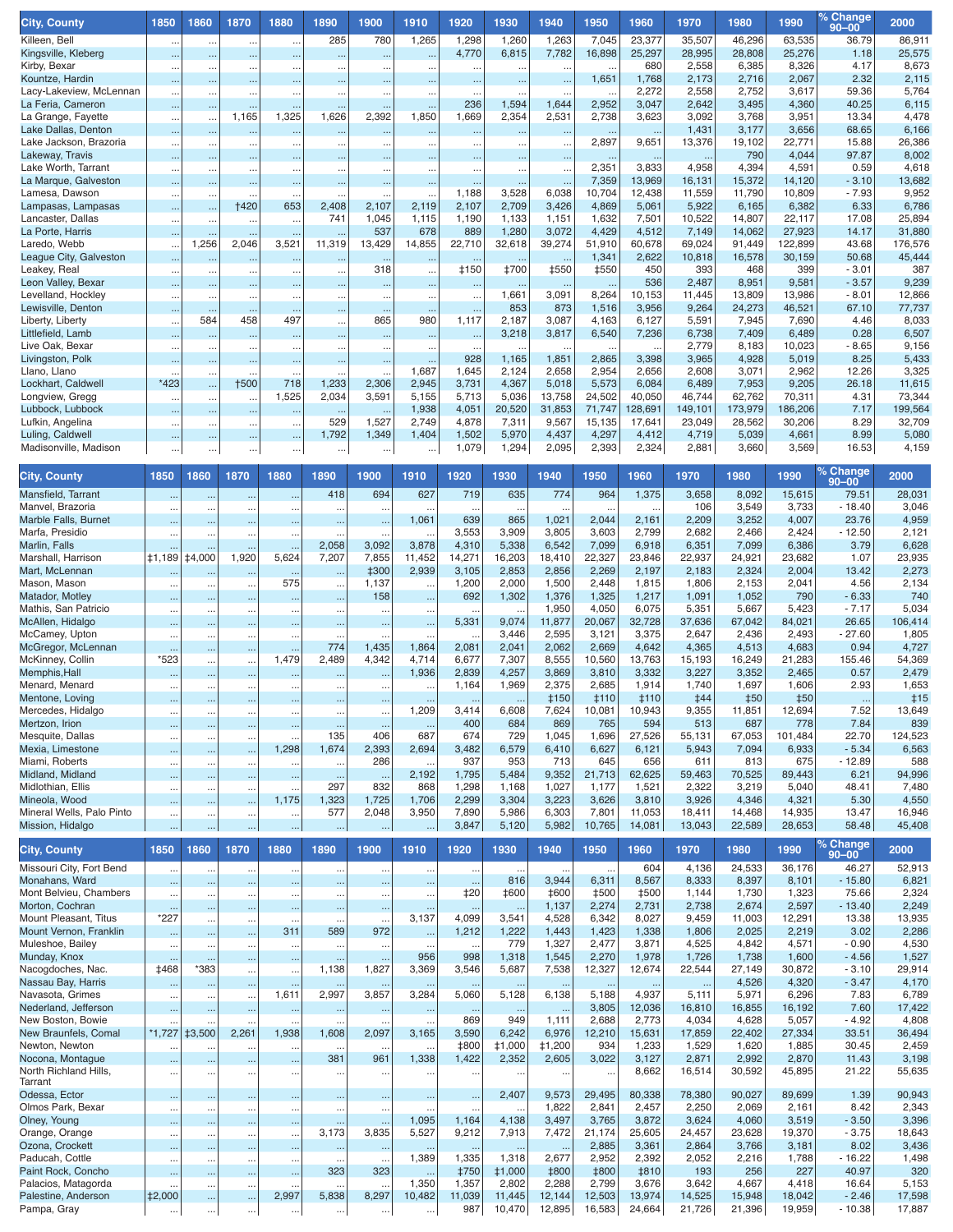| <b>City, County</b>                          | 1850                             | 1860                   | 1870                     | 1880                   | 1890                  | 1900                             | 1910                   | 1920                 | 1930                   | 1940                   | 1950                          | 1960                  | 1970                | 1980                 | 1990                 | օ Change<br>$90 - 00$ | 2000            |
|----------------------------------------------|----------------------------------|------------------------|--------------------------|------------------------|-----------------------|----------------------------------|------------------------|----------------------|------------------------|------------------------|-------------------------------|-----------------------|---------------------|----------------------|----------------------|-----------------------|-----------------|
| Killeen, Bell                                |                                  | $\ddotsc$              | $\cdots$                 | $\ddotsc$              | 285                   | 780                              | 1,265                  | 1,298                | 1,260                  | 1,263                  | 7,045                         | 23,377                | 35,507              | 46,296               | 63,535               | 36.79                 | 86,911          |
| Kingsville, Kleberg                          |                                  | $\ddotsc$              |                          | $\ldots$               | $\sim$                |                                  |                        | 4,770                | 6,815                  | 7,782                  | 16,898                        | 25,297                | 28,995              | 28,808               | 25,276               | 1.18                  | 25,575          |
| Kirby, Bexar                                 | $\ddotsc$                        |                        | $\ddot{\phantom{0}}$     | $\ddotsc$              | $\cdots$              | $\ddot{\phantom{0}}$             | $\ldots$               | $\ddot{\phantom{a}}$ | $\ddot{\phantom{0}}$   | $\ddotsc$              | $\ddotsc$                     | 680                   | 2,558               | 6,385                | 8,326                | 4.17                  | 8,673           |
| Kountze, Hardin                              |                                  |                        | $\ddotsc$                | $\ldots$               | $\ddotsc$             | $\ddotsc$                        | $\ddotsc$              | $\ddotsc$            | $\ddotsc$              | $\ddotsc$              | 1,651                         | 1,768<br>2,272        | 2,173<br>2,558      | 2,716<br>2,752       | 2,067                | 2.32<br>59.36         | 2,115           |
| Lacy-Lakeview, McLennan<br>La Feria, Cameron |                                  | $\cdots$               | $\ddotsc$                | $\ddotsc$              | $\ddotsc$             | $\ddotsc$                        | $\ddotsc$              | $\ddotsc$<br>236     | $\ddotsc$<br>1,594     | $\ddotsc$<br>1,644     | $\ddot{\phantom{a}}$<br>2,952 | 3,047                 | 2,642               | 3,495                | 3,617<br>4,360       | 40.25                 | 5,764<br>6,115  |
| La Grange, Fayette                           | <br>                             | $\cdots$<br>$\ddotsc$  | $\sim$<br>1,165          | 1,325                  | $\ddotsc$<br>1,626    | $\ddotsc$<br>2,392               | $\ddotsc$<br>1,850     | 1,669                | 2,354                  | 2,531                  | 2,738                         | 3,623                 | 3,092               | 3,768                | 3,951                | 13.34                 | 4,478           |
| Lake Dallas, Denton                          |                                  |                        |                          |                        | $\ddotsc$             |                                  |                        | $\ddot{\phantom{1}}$ |                        |                        |                               |                       | 1,431               | 3,177                | 3,656                | 68.65                 | 6,166           |
| Lake Jackson, Brazoria                       | $\cdots$                         | $\cdots$               | $\cdots$                 | $\ldots$               | $\cdots$              | $\ddot{\phantom{0}}$             | $\ddotsc$              | $\cdots$             | $\ldots$               | $\cdots$               | 2,897                         | 9,651                 | 13,376              | 19,102               | 22,771               | 15.88                 | 26,386          |
| Lakeway, Travis                              |                                  | $\cdots$               | $\cdots$                 | $\ddotsc$              | $\cdots$              | $\ddotsc$                        |                        | ò.                   | $\ddotsc$              | $\ddotsc$              | $\ddot{\phantom{1}}$          | $\ddotsc$             | $\ddotsc$           | 790                  | 4,044                | 97.87                 | 8,002           |
| Lake Worth, Tarrant                          | .                                | $\cdots$               | $\sim$                   | $\ddotsc$              | $\ldots$              | $\ddotsc$                        | $\ddotsc$              | $\ddotsc$            | $\ddotsc$              | $\ddotsc$              | 2,351                         | 3,833                 | 4,958               | 4,394                | 4,591                | 0.59                  | 4,618           |
| La Marque, Galveston                         |                                  | $\cdots$               | $\cdots$                 | $\ldots$               | $\sim$                | $\ddotsc$                        | $\ddotsc$              | ÷.                   |                        | $\ddotsc$              | 7,359                         | 13,969                | 16,131              | 15,372               | 14,120               | $-3.10$               | 13,682          |
| Lamesa, Dawson<br>Lampasas, Lampasas         | $\cdots$                         |                        | $\ddotsc$<br><b>†420</b> | $\ddotsc$<br>653       | $\ddotsc$<br>2,408    | $\ddotsc$<br>2,107               | 2,119                  | 1,188<br>2,107       | 3,528<br>2,709         | 6,038<br>3,426         | 10,704<br>4,869               | 12,438<br>5,061       | 11,559<br>5,922     | 11,790<br>6,165      | 10,809<br>6,382      | $-7.93$<br>6.33       | 9,952<br>6,786  |
| Lancaster, Dallas                            | $\cdots$<br>                     | $\ddotsc$<br>$\cdots$  | $\ddotsc$                | $\ddotsc$              | 741                   | 1,045                            | 1,115                  | 1,190                | 1,133                  | 1,151                  | 1,632                         | 7,501                 | 10,522              | 14,807               | 22,117               | 17.08                 | 25,894          |
| La Porte, Harris                             | $\ddotsc$                        | $\ddotsc$              | $\cdots$                 | $\ddotsc$              | $\sim$                | 537                              | 678                    | 889                  | 1,280                  | 3,072                  | 4,429                         | 4,512                 | 7,149               | 14,062               | 27,923               | 14.17                 | 31,880          |
| Laredo, Webb                                 | $\cdots$                         | 1,256                  | 2,046                    | 3,521                  | 11,319                | 13,429                           | 14,855                 | 22,710               | 32,618                 | 39,274                 | 51,910                        | 60,678                | 69,024              | 91,449               | 122,899              | 43.68                 | 176,576         |
| League City, Galveston                       |                                  | $\cdots$               | $\cdots$                 | $\ddotsc$              | $\cdots$              |                                  |                        | $\ldots$             |                        |                        | 1,341                         | 2,622                 | 10,818              | 16,578               | 30,159               | 50.68                 | 45,444          |
| Leakey, Real                                 | $\ddots$                         | $\ddotsc$              | $\ddotsc$                | $\ddotsc$              | $\ddotsc$             | 318                              | $\ddotsc$              | <b>‡150</b>          | <b>‡700</b>            | <b>‡550</b>            | <b>‡550</b>                   | 450                   | 393                 | 468                  | 399                  | $-3.01$               | 387             |
| Leon Valley, Bexar                           |                                  | $\ddotsc$              | $\sim$                   | $\ldots$               | $\cdots$              | $\ddotsc$                        | $\ddotsc$              | $\ldots$             |                        | $\sim$                 | $\sim$                        | 536                   | 2,487               | 8,951                | 9,581                | $-3.57$               | 9,239           |
| Levelland, Hockley                           |                                  | $\cdots$               | $\ddotsc$                | $\ldots$               | $\cdots$              | $\ddot{\phantom{0}}$             | $\ddotsc$              | $\ddot{\phantom{1}}$ | 1,661                  | 3,091                  | 8,264                         | 10,153                | 11,445              | 13,809               | 13,986               | $-8.01$               | 12,866          |
| Lewisville, Denton                           | $\ddotsc$                        | $\cdots$<br>584        | $\cdots$<br>458          | $\ddotsc$              | $\cdots$              | $\ddotsc$<br>865                 | $\cdots$<br>980        | $\sim$               | 853<br>2,187           | 873<br>3,087           | 1,516                         | 3,956<br>6,127        | 9,264<br>5,591      | 24,273               | 46,521<br>7,690      | 67.10                 | 77,737          |
| Liberty, Liberty<br>Littlefield, Lamb        | $\ddotsc$                        |                        | $\sim$                   | 497                    | $\cdots$<br>$\ddotsc$ |                                  |                        | 1,117<br>$\ddotsc$   | 3,218                  | 3,817                  | 4,163<br>6,540                | 7,236                 | 6,738               | 7,945<br>7,409       | 6,489                | 4.46<br>0.28          | 8,033<br>6,507  |
| Live Oak, Bexar                              | $\ddotsc$                        | $\ddotsc$              | $\sim$                   | $\ldots$<br>$\cdot$ .  | $\sim$                | $\ddotsc$<br>$\ddotsc$           | $\ddotsc$<br>$\ddotsc$ | $\ddotsc$            |                        |                        | $\ddot{\phantom{a}}$          |                       | 2,779               | 8,183                | 10,023               | - 8.65                | 9,156           |
| Livingston, Polk                             |                                  |                        | $\ddotsc$                |                        | $\ddotsc$             | $\ddotsc$                        |                        | 928                  | 1,165                  | 1,851                  | 2,865                         | 3,398                 | 3,965               | 4,928                | 5,019                | 8.25                  | 5,433           |
| Llano, Llano                                 |                                  | $\cdots$               | $\ddotsc$                | $\ddotsc$              | $\sim$                | $\ddotsc$                        | 1,687                  | 1,645                | 2,124                  | 2,658                  | 2,954                         | 2,656                 | 2,608               | 3,071                | 2,962                | 12.26                 | 3,325           |
| Lockhart, Caldwell                           | *423                             | $\ddotsc$              | <b>+500</b>              | 718                    | 1,233                 | 2,306                            | 2,945                  | 3,731                | 4,367                  | 5,018                  | 5,573                         | 6,084                 | 6,489               | 7,953                | 9,205                | 26.18                 | 11,615          |
| Longview, Gregg                              | $\ddotsc$                        | $\cdots$               | $\sim$                   | 1,525                  | 2,034                 | 3,591                            | 5,155                  | 5,713                | 5,036                  | 13,758                 | 24,502                        | 40,050                | 46,744              | 62,762               | 70,311               | 4.31                  | 73,344          |
| Lubbock, Lubbock                             |                                  |                        | $\sim$                   | $\ldots$               |                       |                                  | 1,938                  | 4,051                | 20,520                 | 31,853                 | 71,747                        | 128,691               | 149,101             | 173,979              | 186.206              | 7.17                  | 199,564         |
| Lufkin, Angelina                             |                                  | $\cdots$               | $\cdots$                 | $\ldots$               | 529                   | 1,527                            | 2,749                  | 4,878                | 7,311                  | 9,567                  | 15,135                        | 17,641                | 23,049              | 28,562               | 30,206               | 8.29                  | 32,709          |
| Luling, Caldwell                             |                                  | $\cdots$               | $\cdots$                 | $\cdots$               | 1,792                 | 1,349                            | 1,404                  | 1,502<br>1,079       | 5,970<br>1,294         | 4,437                  | 4,297<br>2,393                | 4,412                 | 4,719               | 5,039                | 4,661                | 8.99                  | 5,080           |
| Madisonville, Madison                        |                                  | $\cdots$               | $\cdots$                 |                        | $\cdots$              | $\cdots$                         | $\cdots$               |                      |                        | 2,095                  |                               | 2,324                 | 2,881               | 3,660                | 3,569                | 16.53                 | 4,159           |
| <b>City, County</b>                          | 1850                             | 1860                   | 1870                     | 1880                   | 1890                  | 1900                             | 1910                   | 1920                 | 1930                   | 1940                   | 1950                          | 1960                  | 1970                | 1980                 | 1990                 | % Change<br>$90 - 00$ | 2000            |
| Mansfield, Tarrant                           |                                  |                        |                          | $\ddotsc$              | 418                   | 694                              | 627                    | 719                  | 635                    | 774                    | 964                           | 1,375                 | 3,658               | 8,092                | 15,615               | 79.51                 | 28,031          |
| Manvel, Brazoria                             | $\ldots$                         | $\ddotsc$              | $\ddot{\phantom{0}}$     | $\ddot{\phantom{0}}$   | $\ddotsc$             | $\ddotsc$                        |                        | $\ddotsc$            |                        |                        |                               | $\ddot{\phantom{a}}$  | 106                 | 3,549                | 3,733                | $-18.40$              | 3,046           |
| Marble Falls, Burnet                         |                                  |                        |                          | $\ddotsc$              | $\ldots$              | ò.                               | 1,061                  | 639                  | 865                    | 1,021                  | 2,044                         | 2,161                 | 2,209               | 3,252                | 4,007                | 23.76                 | 4,959           |
| Marfa, Presidio                              | $\ddotsc$                        | $\ddotsc$              | $\ddot{\phantom{0}}$     | $\ddot{\phantom{0}}$   | $\ddotsc$             |                                  |                        | 3,553                | 3,909                  | 3,805                  | 3,603                         | 2,799                 | 2,682               | 2,466                | 2,424                | $-12.50$              | 2,121           |
| Marlin, Falls                                |                                  |                        |                          | $\ddotsc$              | 2,058                 | 3,092                            | 3,878                  | 4,310                | 5,338                  | 6,542                  | 7,099                         | 6,918                 | 6,351               | 7,099                | 6,386                | 3.79                  | 6,628           |
| Marshall, Harrison                           | <b>‡1,189</b>                    | <b>‡4,000</b>          | 1,920                    | 5,624                  | 7,207                 | 7,855                            | 11,452                 | 14,271               | 16,203                 | 18,410                 | 22,327                        | 23,846                | 22,937              | 24,921               | 23,682               | 1.07                  | 23,935          |
| Mart, McLennan<br>Mason, Mason               |                                  |                        | $\ddotsc$                | $\ldots$<br>575        | $\ldots$              | <b>‡300</b><br>1,137             | 2,939                  | 3,105<br>1,200       | 2,853<br>2,000         | 2,856<br>1,500         | 2,269<br>2,448                | 2,197<br>1,815        | 2,183<br>1,806      | 2,324<br>2,153       | 2,004<br>2,041       | 13.42<br>4.56         | 2,273<br>2,134  |
| Matador, Motley                              | $\ddotsc$<br>$\ddotsc$           | $\ddotsc$<br>$\ddotsc$ | $\ddotsc$<br>            | $\ddotsc$              | $\ddotsc$<br>         | 158                              | $\ddotsc$<br>$\ddotsc$ | 692                  | 1,302                  | 1,376                  | 1,325                         | 1,217                 | 1,091               | 1,052                | 790                  | $-6.33$               | 740             |
| Mathis, San Patricio                         | $\ldots$                         | $\cdots$               |                          | $\ddotsc$              | $\ldots$              |                                  | $\ddotsc$              | $\ddotsc$            |                        | 1,950                  | 4,050                         | 6,075                 | 5,351               | 5,667                | 5,423                | $-7.17$               | 5,034           |
| McAllen, Hidalgo                             | $\ldots$                         | $\ddotsc$              |                          | $\ddotsc$              | $\ddotsc$             | $\ddotsc$                        | $\ddotsc$              | 5,331                | 9,074                  | 11,877                 | 20,067                        | 32,728                | 37,636              | 67,042               | 84,021               | 26.65                 | 106,414         |
| McCamey, Upton                               | $\ddotsc$                        | $\ddotsc$              | $\ddotsc$                | $\ddotsc$              | $\ddotsc$             |                                  |                        | $\ddotsc$            | 3,446                  | 2,595                  | 3,121                         | 3,375                 | 2,647               | 2,436                | 2,493                | $-27.60$              | 1,805           |
| McGregor, McLennan                           | $\ddotsc$                        | $\ddotsc$              |                          |                        | 774                   | 1,435                            | 1,864                  | 2,081                | 2,041                  | 2,062                  | 2,669                         | 4,642                 | 4,365               | 4,513                | 4,683                | 0.94                  | 4,727           |
| McKinney, Collin                             | *523                             | $\cdots$               | $\cdots$                 | 1,479                  | 2,489                 | 4,342                            | 4,714                  | 6,677                | 7,307                  | 8,555                  | 10,560                        | 13,763                | 15,193              | 16,249               | 21,283               | 155.46                | 54,369          |
| Memphis, Hall                                | $\ldots$                         | $\ddotsc$              | $\ddotsc$                | $\ddotsc$              | $\ddotsc$             | $\sim$                           | 1,936                  | 2,839                | 4,257                  | 3,869                  | 3,810                         | 3,332                 | 3,227               | 3,352                | 2,465                | 0.57                  | 2,479           |
| Menard, Menard                               | $\ddots$                         |                        |                          | $\ddot{\phantom{0}}$   |                       |                                  |                        | 1,164                | 1,969                  | 2,375                  | 2,685                         | 1,914                 | 1,740               | 1,697                | 1,606                | 2.93                  | 1,653           |
| Mentone, Loving                              |                                  |                        | $\ddotsc$                | $\ddotsc$              |                       | $\ddotsc$                        | $\ddotsc$<br>,209      | $\ddotsc$<br>3,414   | $\sim$<br>6,608        | <b>‡150</b><br>7,624   | #110<br>10,081                | <b>‡110</b><br>10,943 | <b>‡44</b><br>9,355 | <b>‡50</b><br>11,851 | <b>‡50</b><br>12,694 | $\cdots$<br>7.52      | ‡15             |
| Mercedes, Hidalgo<br>Mertzon, Irion          | и.                               |                        | $\ddotsc$                | $\ddotsc$              |                       | $\ddot{\phantom{0}}$<br>$\cdots$ |                        | 400                  | 684                    | 869                    | 765                           | 594                   | 513                 | 687                  | 778                  | 7.84                  | 13,649<br>839   |
| Mesquite, Dallas                             | $\ldots$                         | $\cdots$<br>$\cdots$   |                          | $\ddot{\phantom{a}}$   | $\cdots$<br>135       | 406                              | $\ddotsc$<br>687       | 674                  | 729                    | 1,045                  | 1,696                         | 27,526                | 55,131              | 67,053               | 101,484              | 22.70                 | 124,523         |
| Mexia, Limestone                             | $\ddotsc$                        | $\cdots$               | Ω,                       | 1,298                  | 1,674                 | 2,393                            | 2,694                  | 3,482                | 6,579                  | 6,410                  | 6,627                         | 6,121                 | 5,943               | 7,094                | 6,933                | $-5.34$               | 6,563           |
| Miami, Roberts                               | $\cdot$                          | $\cdots$               | $\cdots$                 | $\ddotsc$              | $\ldots$              | 286                              |                        | 937                  | 953                    | 713                    | 645                           | 656                   | 611                 | 813                  | 675                  | $-12.89$              | 588             |
| Midland, Midland                             | $\ddotsc$                        | $\cdots$               |                          | $\ddotsc$              | $\cdots$              | $\sim$                           | 2,192                  | 1,795                | 5,484                  | 9,352                  | 21,713                        | 62,625                | 59,463              | 70,525               | 89,443               | 6.21                  | 94,996          |
| Midlothian, Ellis                            | $\cdots$                         | $\cdots$               | $\ldots$                 | $\ddotsc$              | 297                   | 832                              | 868                    | 1,298                | 1,168                  | 1,027                  | 1,177                         | 1,521                 | 2,322               | 3,219                | 5,040                | 48.41                 | 7,480           |
| Mineola, Wood                                | $\ddot{\phantom{0}}$             | $\ldots$               |                          | 1,175                  | 1,323                 | 1,725                            | 1,706                  | 2,299                | 3,304                  | 3,223                  | 3,626                         | 3,810                 | 3,926               | 4,346                | 4,321                | 5.30                  | 4,550           |
| Mineral Wells, Palo Pinto                    | $\ldots$                         | $\cdots$               | $\ddotsc$                | $\ddotsc$              | 577                   | 2,048                            | 3,950                  | 7,890                | 5,986                  | 6,303                  | 7,801                         | 11,053                | 18,411              | 14,468               | 14,935               | 13.47<br>58.48        | 16,946          |
| Mission, Hidalgo                             |                                  |                        | Ω,                       | $\cdots$               |                       | $\ldots$                         | $\cdots$               | 3,847                | 5,120                  | 5,982                  | 10,765                        | 14,081                | 13,043              | 22,589               | 28,653               |                       | 45,408          |
| <b>City, County</b>                          | 1850                             | 1860                   | 1870                     | 1880                   | 1890                  | 1900                             | 1910                   | 1920                 | 1930                   | 1940                   | 1950                          | 1960                  | 1970                | 1980                 | 1990                 | % Change<br>$90 - 00$ | 2000            |
| Missouri City, Fort Bend                     | $\ldots$                         | $\ldots$               | $\ddotsc$                | $\ddots$               | $\ldots$              | $\ddotsc$                        | $\ldots$               | $\cdots$             | $\ddotsc$              |                        | $\ldots$                      | 604                   | 4,136               | 24,533               | 36,176               | 46.27                 | 52,913          |
| Monahans, Ward                               | $\ddot{\phantom{1}}$             | $\cdots$               |                          | $\ddotsc$              | $\ldots$              | $\cdots$                         | $\ddotsc$              | $\cdots$             | 816                    | 3,944                  | 6,311                         | 8,567                 | 8,333               | 8,397                | 8,101                | $-15.80$              | 6,821           |
| Mont Belvieu, Chambers                       | $\ddotsc$                        | $\cdots$               |                          | $\ddotsc$              | $\cdots$              | $\ddotsc$                        | $\ddotsc$              | ‡20                  | <b>‡600</b>            | <b>‡600</b>            | <b>‡500</b>                   | <b>‡500</b>           | 1,144               | 1,730                | 1,323                | 75.66                 | 2,324           |
| Morton, Cochran<br>Mount Pleasant, Titus     | $\cdots$<br>*227                 | $\ddotsc$              |                          | $\ddotsc$              | $\cdots$              | $\cdots$                         | $\ddotsc$<br>3,137     | $\cdots$<br>4,099    | $\ldots$<br>3,541      | 1,137<br>4,528         | 2,274<br>6,342                | 2,731<br>8,027        | 2,738               | 2,674<br>11,003      | 2,597                | $-13.40$<br>13.38     | 2,249           |
| Mount Vernon, Franklin                       |                                  | $\cdots$               |                          | 311                    | 589                   | $\ddotsc$<br>972                 |                        | 1,212                | 1,222                  | 1,443                  | 1,423                         | 1,338                 | 9,459<br>1,806      | 2,025                | 12,291<br>2,219      | 3.02                  | 13,935<br>2,286 |
| Muleshoe, Bailey                             | $\ddot{\phantom{0}}$<br>$\ldots$ | $\ddotsc$<br>$\ldots$  | <br>                     | $\ldots$               | $\ldots$              | $\ddotsc$                        | $\ddotsc$<br>$\ddotsc$ | $\ldots$             | 779                    | 1,327                  | 2,477                         | 3,871                 | 4,525               | 4,842                | 4,571                | $-0.90$               | 4,530           |
| Munday, Knox                                 | $\ddotsc$                        | $\cdots$               |                          | $\ldots$               | $\cdots$              | $\sim$                           | 956                    | 998                  | 1,318                  | 1,545                  | 2,270                         | 1,978                 | 1,726               | 1,738                | 1,600                | $-4.56$               | 1,527           |
| Nacogdoches, Nac.                            | <b>‡468</b>                      | *383                   | $\ddotsc$                | $\ddot{\phantom{0}}$   | 1,138                 | 1,827                            | 3,369                  | 3,546                | 5,687                  | 7,538                  | 12,327                        | 12,674                | 22,544              | 27,149               | 30,872               | $-3.10$               | 29,914          |
| Nassau Bay, Harris                           |                                  | $\ddotsc$              |                          | $\ldots$               | $\cdots$              | $\sim$                           | $\ldots$               | $\cdots$             | $\ldots$               | $\cdots$               | $\cdots$                      | $\cdots$              | $\cdots$            | 4,526                | 4,320                | $-3.47$               | 4,170           |
| Navasota, Grimes                             | $\cdot$                          | $\cdots$               | $\ldots$                 | 1,611                  | 2,997                 | 3,857                            | 3,284                  | 5,060                | 5,128                  | 6,138                  | 5,188                         | 4,937                 | 5,111               | 5,971                | 6,296                | 7.83                  | 6,789           |
| Nederland, Jefferson                         | $\ddotsc$                        | $\cdots$               | $\ldots$                 | $\cdots$               | $\cdots$              | $\sim$                           | $\ddotsc$              | $\cdots$             | $\ldots$               |                        | 3,805                         | 12,036                | 16,810              | 16,855               | 16,192               | 7.60                  | 17,422          |
| New Boston, Bowie                            |                                  |                        | $\ddot{\phantom{a}}$     | $\ddot{\phantom{a}}$   | $\ddotsc$             | $\ldots$                         |                        | 869                  | 949                    | 1,111                  | 2,688                         | 2,773                 | 4,034               | 4,628                | 5,057                | $-4.92$               | 4,808           |
| New Braunfels, Comal                         | $*1,727$                         | <b>‡3,500</b>          | 2,261                    | 1,938                  | 1,608                 | 2,097                            | 3,165                  | 3,590                | 6,242                  | 6,976                  | 12,210                        | 15,631                | 17,859              | 22,402               | 27,334               | 33.51                 | 36,494          |
| Newton, Newton<br>Nocona, Montague           | $\ddotsc$                        | $\ddotsc$              | $\ddot{\phantom{0}}$     | $\ddotsc$              | $\cdot$ .<br>381      | 961                              | 1,338                  | <b>‡800</b><br>1,422 | <b>‡1,000</b><br>2,352 | <b>‡1,200</b><br>2,605 | 934<br>3,022                  | 1,233<br>3,127        | 1,529<br>2,871      | 1,620<br>2,992       | 1,885<br>2,870       | 30.45<br>11.43        | 2,459<br>3,198  |
| North Richland Hills,                        | $\ddot{\phantom{0}}$             | $\ddotsc$              |                          | $\ddotsc$              |                       |                                  |                        |                      |                        |                        |                               | 8,662                 | 16,514              | 30,592               | 45,895               | 21.22                 | 55,635          |
| Tarrant                                      | $\cdots$                         | $\ddotsc$              |                          | $\ddotsc$              | $\cdots$              | $\cdots$                         | $\cdots$               | $\ldots$             | $\cdots$               | $\cdots$               | $\cdots$                      |                       |                     |                      |                      |                       |                 |
| Odessa, Ector                                | $\cdots$                         | $\ddotsc$              |                          | $\ddotsc$              | $\cdots$              | $\cdots$                         | $\cdots$               | $\ddotsc$            | 2,407                  | 9,573                  | 29,495                        | 80,338                | 78,380              | 90,027               | 89,699               | 1.39                  | 90,943          |
| Olmos Park, Bexar                            | $\cdot$                          | $\cdots$               | $\cdots$                 | $\ddotsc$              | $\ddotsc$             | $\ddotsc$                        |                        | $\ddotsc$            |                        | 1,822                  | 2,841                         | 2,457                 | 2,250               | 2,069                | 2,161                | 8.42                  | 2,343           |
| Olney, Young                                 | $\cdots$                         | $\cdots$               | $\ddotsc$                | $\cdots$               | $\cdots$              | $\sim$                           | 1,095                  | 1,164                | 4,138                  | 3,497                  | 3,765                         | 3,872                 | 3,624               | 4,060                | 3,519                | $-3.50$               | 3,396           |
| Orange, Orange                               | $\ddotsc$                        | $\ddotsc$              |                          | $\ddot{\phantom{0}}$   | 3,173                 | 3,835                            | 5,527                  | 9,212                | 7,913                  | 7,472                  | 21,174                        | 25,605                | 24,457              | 23,628               | 19,370               | $-3.75$               | 18,643          |
| Ozona, Crockett<br>Paducah, Cottle           | $\ddotsc$                        | $\ddotsc$              | $\ddotsc$                | $\ddotsc$              | $\cdots$              | $\cdots$                         | $\ddotsc$<br>1,389     | $\cdots$<br>1,335    | $\cdots$<br>1,318      | $\cdots$<br>2,677      | 2,885<br>2,952                | 3,361<br>2,392        | 2,864<br>2,052      | 3,766<br>2,216       | 3,181<br>1,788       | 8.02<br>$-16.22$      | 3,436<br>1,498  |
| Paint Rock, Concho                           | $\cdot$<br>$\ddot{\phantom{0}}$  | $\cdots$<br>$\cdots$   | <br>                     | $\ddotsc$<br>$\ddotsc$ | $\ddotsc$<br>323      | 323                              |                        | <b>‡750</b>          | <b>‡1,000</b>          | <b>‡800</b>            | <b>‡800</b>                   | <b>‡810</b>           | 193                 | 256                  | 227                  | 40.97                 | 320             |
| Palacios, Matagorda                          | $\ddotsc$                        | $\cdots$               | $\ddotsc$                | $\ddotsc$              | $\ddotsc$             | $\ddotsc$                        | 1,350                  | 1,357                | 2,802                  | 2,288                  | 2,799                         | 3,676                 | 3,642               | 4,667                | 4,418                | 16.64                 | 5,153           |
| Palestine, Anderson                          | <b>‡2,000</b>                    |                        |                          | 2,997                  | 5,838                 | 8,297                            | 10,482                 | 11,039               | 11,445                 | 12,144                 | 12,503                        | 13,974                | 14,525              | 15,948               | 18,042               | $-2.46$               | 17,598          |
| Pampa, Gray                                  | $\cdots$                         | $\cdots$               |                          | $\cdots$               | $\ldots$              | $\cdots$                         | $\cdots$               | 987                  | 10,470                 | 12,895                 | 16,583                        | 24,664                | 21,726              | 21,396               | 19,959               | $-10.38$              | 17,887          |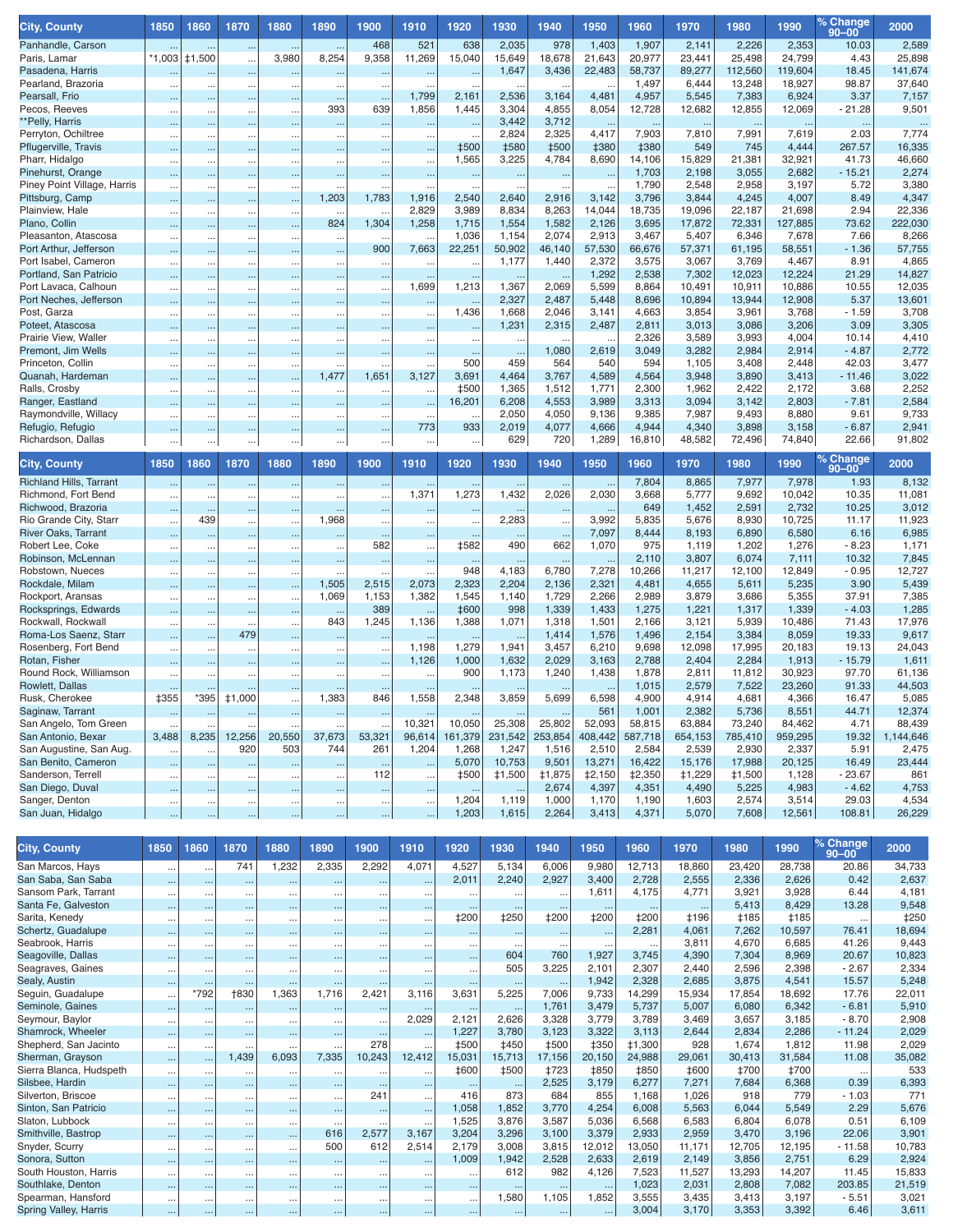| <b>City, County</b>            | 1850                              | 1860                | 1870          | 1880                   | 1890                 | 1900                 | 1910               | 1920        | 1930               | 1940           | 1950                 | 1960          | 1970    | 1980          | 1990    | % Change<br>$90 - 00$ | 2000            |
|--------------------------------|-----------------------------------|---------------------|---------------|------------------------|----------------------|----------------------|--------------------|-------------|--------------------|----------------|----------------------|---------------|---------|---------------|---------|-----------------------|-----------------|
| Panhandle, Carson              |                                   |                     |               |                        |                      | 468                  | 521                | 638         | 2,035              | 978            | 1,403                | 1,907         | 2,141   | 2,226         | 2,353   | 10.03                 | 2,589           |
| Paris, Lamar                   | $*1,003$                          | <b>‡1,500</b>       | $\ddotsc$     | 3,980                  | 8,254                | 9,358                | 11,269             | 15,040      | 15,649             | 18,678         | 21,643               | 20,977        | 23,441  | 25,498        | 24,799  | 4.43                  | 25,898          |
| Pasadena, Harris               |                                   |                     |               |                        | $\ddotsc$            | $\ddot{\phantom{1}}$ |                    | $\ldots$    | 1,647              | 3,436          | 22,483               | 58,737        | 89,277  | 112,560       | 119,604 | 18.45                 | 141,674         |
| Pearland, Brazoria             | $\ddot{\phantom{0}}$              | $\ddotsc$           |               | $\ddotsc$              | $\ldots$             | $\ldots$             |                    | $\ddotsc$   |                    |                | $\ddotsc$            | 1,497         | 6,444   | 13,248        | 18,927  | 98.87                 | 37,640          |
| Pearsall, Frio                 | $\ddotsc$                         | $\ddotsc$           |               | $\ddotsc$              | $\ddotsc$            | $\ddotsc$            | 1,799              | 2,161       | 2,536              | 3,164          | 4,481                | 4,957         | 5,545   | 7,383         | 6,924   | 3.37                  | 7,157           |
| Pecos, Reeves                  | $\ddot{\phantom{0}}$              | $\ddotsc$           | .             | $\ddot{\phantom{a}}$   | 393                  | 639                  | 1,856              | 1,445       | 3,304              | 4,855          | 8,054                | 12,728        | 12,682  | 12,855        | 12,069  | $-21.28$              | 9,501           |
| **Pelly, Harris                | $\ddotsc$                         | $\ddotsc$           | Ω,            | $\ddotsc$              | $\ddotsc$            | $\sim$               |                    |             | 3,442              | 3,712          | $\ddotsc$            |               |         |               |         |                       |                 |
| Perryton, Ochiltree            | $\ddotsc$                         | $\ldots$            |               | $\ddotsc$              | $\cdots$             | $\ddotsc$            | $\ldots$           | $\ddotsc$   | 2,824              | 2,325          | 4,417                | 7,903         | 7,810   | 7,991         | 7,619   | 2.03                  | 7,774           |
| Pflugerville, Travis           | $\ddotsc$                         | $\ddotsc$           |               | $\ddotsc$              | $\cdots$             | $\cdots$             | $\sim$             | <b>‡500</b> | <b>‡580</b>        | <b>‡500</b>    | <b>‡380</b>          | <b>‡380</b>   | 549     | 745           | 4,444   | 267.57                | 16,335          |
| Pharr, Hidalgo                 | $\ddot{\phantom{0}}$              |                     |               | $\ddot{\phantom{0}}$   |                      | $\ddotsc$            |                    | 1,565       | 3,225              | 4,784          | 8,690                | 14,106        | 15,829  | 21,381        | 32,921  | 41.73                 | 46,660          |
| Pinehurst, Orange              | $\ddotsc$                         | $\ddotsc$           |               | $\ddotsc$              | $\cdots$             | $\cdots$             | $\ldots$           | $\ddotsc$   | $\ldots$           | $\ddotsc$      | $\cdots$             | 1,703         | 2,198   | 3,055         | 2,682   | $-15.21$              | 2,274           |
| Piney Point Village, Harris    | $\ddotsc$                         | $\ddotsc$           |               | $\ddotsc$              | $\ddotsc$            | $\cdots$             |                    | $\ddotsc$   | $\ddotsc$          |                | $\ddot{\phantom{0}}$ | 1,790         | 2,548   | 2,958         | 3,197   | 5.72                  | 3,380           |
| Pittsburg, Camp                | $\ddotsc$                         | $\ddotsc$           |               | $\ddotsc$              | 1,203                | 1,783                | 1,916              | 2,540       | 2,640              | 2,916          | 3,142                | 3,796         | 3,844   | 4,245         | 4,007   | 8.49                  | 4,347           |
| Plainview, Hale                | $\ddot{\phantom{0}}$              | $\ddotsc$           |               | $\cdot$ .              | $\ldots$             |                      | 2,829              | 3,989       | 8,834              | 8,263          | 14,044               | 18,735        | 19,096  | 22,187        | 21,698  | 2.94                  | 22,336          |
| Plano, Collin                  | $\ddotsc$                         | $\ddotsc$           | Ω,            | $\ddotsc$              | 824                  | 1,304                | 1,258              | 1,715       | 1,554              | 1,582          | 2,126                | 3,695         | 17,872  | 72,331        | 127,885 | 73.62                 | 222,030         |
| Pleasanton, Atascosa           | $\ddotsc$                         | $\ddotsc$           |               | $\ddotsc$              | $\cdots$             |                      |                    | 1,036       | 1,154              | 2,074          | 2,913                | 3,467         | 5,407   | 6,346         | 7,678   | 7.66                  | 8,266           |
| Port Arthur, Jefferson         | $\ddotsc$                         | $\sim$              |               | $\ddotsc$              | $\cdots$             | 900                  | 7,663              | 22,251      | 50,902             | 46,140         | 57,530               | 66,676        | 57,371  | 61,195        | 58,551  | $-1.36$               | 57,755          |
| Port Isabel, Cameron           | $\ddotsc$                         | $\ddotsc$           | $\ddotsc$     | $\ddotsc$              | $\cdots$             | $\sim$               | $\ddotsc$          | $\ddotsc$   | 1,177              | 1,440          | 2,372                | 3,575         | 3,067   | 3,769         | 4,467   | 8.91                  | 4,865           |
| Portland, San Patricio         | $\ddotsc$                         | $\ldots$            | Ω,            | $\ddotsc$              | $\cdots$             | $\sim$               |                    | $\ddotsc$   | $\ddotsc$          | $\ddotsc$      | 1,292                | 2,538         | 7,302   | 12,023        | 12,224  | 21.29                 | 14,827          |
| Port Lavaca, Calhoun           | $\ddotsc$                         | $\ddotsc$           |               | $\ddotsc$              | $\ddotsc$            | $\ddotsc$            | 1,699              | 1,213       | 1,367              | 2,069          | 5,599                | 8,864         | 10,491  | 10,911        | 10,886  | 10.55                 | 12,035          |
| Port Neches, Jefferson         | $\ddotsc$                         |                     | Ω,            | $\ddotsc$              | $\cdots$             |                      |                    | $\ddotsc$   | 2,327              | 2,487          | 5,448                | 8,696         | 10,894  | 13,944        | 12,908  | 5.37                  | 13,601          |
| Post, Garza                    | $\ddotsc$                         | $\cdots$            | $\ddotsc$     | $\ddotsc$              | $\cdots$             | $\sim$               | $\ddotsc$          | 1,436       | 1,668              | 2,046          | 3,141                | 4,663         | 3,854   | 3,961         | 3,768   | $-1.59$               | 3,708           |
| Poteet, Atascosa               | $\ddotsc$                         | $\ddotsc$           | Ω,            | $\ddotsc$              |                      | ò.                   |                    | $\ddotsc$   | 1,231              | 2,315          | 2,487                | 2,811         | 3,013   | 3,086         | 3,206   | 3.09                  | 3,305           |
| Prairie View, Waller           | $\ddot{\phantom{0}}$              | $\ddotsc$           |               | $\ddot{\phantom{0}}$   | $\ddotsc$            | $\cdots$             | $\ddotsc$          | $\ddots$    | $\ddotsc$          |                | $\ddotsc$            | 2,326         | 3,589   | 3,993         | 4,004   | 10.14                 | 4,410           |
| Premont, Jim Wells             | $\ddotsc$                         | $\ddotsc$           | Ω,            | $\ddotsc$              | $\ldots$             |                      | $\ddotsc$          | $\ddotsc$   | $\ddotsc$          | 1,080          | 2,619                | 3,049         | 3,282   | 2,984         | 2,914   | $-4.87$               | 2,772           |
| Princeton, Collin              | $\ddotsc$                         | $\ddotsc$           |               | $\ddot{\phantom{0}}$   | $\ddotsc$            | $\ddotsc$            |                    | 500         | 459                | 564            | 540                  | 594           | 1,105   | 3,408         | 2,448   | 42.03                 | 3,477           |
| Quanah, Hardeman               |                                   | $\sim$              |               |                        | 1,477                | 1,651                | 3,127              | 3,691       | 4,464              | 3,767          | 4,589                | 4,564         | 3,948   | 3,890         | 3,413   | $-11.46$              | 3,022           |
| Ralls, Crosby                  | $\ddotsc$<br>$\ddot{\phantom{0}}$ |                     | <br>.         | $\ddot{\phantom{a}}$   | $\ddotsc$            | $\ddot{\phantom{a}}$ |                    | <b>‡500</b> | 1,365              | 1,512          | 1,771                | 2,300         | 1,962   | 2,422         | 2,172   | 3.68                  | 2,252           |
| Ranger, Eastland               | $\ddotsc$                         | $\ddotsc$           | Ω,            | $\ddotsc$              | $\ddotsc$            | $\sim$               | $\ddotsc$          | 16,201      | 6,208              | 4,553          | 3,989                | 3,313         | 3,094   | 3,142         | 2,803   | $-7.81$               | 2,584           |
| Raymondville, Willacy          | $\ddot{\phantom{0}}$              | $\ldots$            |               |                        | $\cdots$             |                      |                    | $\ddotsc$   | 2,050              | 4,050          | 9,136                | 9,385         | 7,987   | 9,493         | 8,880   | 9.61                  | 9,733           |
| Refugio, Refugio               | $\ddotsc$                         | $\ddotsc$           |               | $\ddotsc$<br>$\ddotsc$ | $\cdots$             | <br>$\cdots$         | 773                | 933         | 2,019              | 4,077          | 4,666                | 4,944         | 4,340   | 3,898         | 3,158   | $-6.87$               | 2,941           |
|                                |                                   |                     |               |                        |                      |                      |                    |             |                    |                |                      |               |         |               |         |                       |                 |
|                                |                                   |                     |               |                        |                      |                      |                    |             |                    |                |                      |               |         |               |         |                       |                 |
| Richardson, Dallas             |                                   |                     |               | $\ddotsc$              |                      |                      |                    |             | 629                | 720            | 1,289                | 16,810        | 48,582  | 72,496        | 74,840  | 22.66                 | 91,802          |
| <b>City, County</b>            | 1850                              | 1860                | 1870          | 1880                   | 1890                 | 1900                 | 1910               | 1920        | 1930               | 1940           | 1950                 | 1960          | 1970    | 1980          | 1990    | % Change<br>$90 - 00$ | 2000            |
| <b>Richland Hills, Tarrant</b> | $\ldots$                          | $\ddotsc$           | $\ddotsc$     | $\alpha$               | $\ddotsc$            | $\ldots$             |                    |             |                    |                |                      | 7,804         | 8,865   | 7,977         | 7,978   | 1.93                  | 8,132           |
| Richmond, Fort Bend            | $\ddotsc$                         | $\ddotsc$           |               | $\ddotsc$              | $\ddotsc$            | $\ddotsc$            | 1,371              | 1,273       | 1,432              | 2,026          | 2,030                | 3,668         | 5,777   | 9,692         | 10,042  | 10.35                 | 11,081          |
| Richwood, Brazoria             | $\ddotsc$                         | $\sim$              |               |                        | $\cdots$             | $\ddotsc$            |                    | $\ddotsc$   |                    |                | $\ldots$             | 649           | 1,452   | 2,591         | 2,732   | 10.25                 | 3,012           |
| Rio Grande City, Starr         | $\ddot{\phantom{0}}$              | 439                 |               | $\ddot{\phantom{0}}$   | 1,968                | $\cdots$             | $\ddotsc$          | $\cdots$    | 2,283              | $\ddotsc$      | 3,992                | 5,835         | 5,676   | 8,930         | 10,725  | 11.17                 | 11,923          |
| River Oaks, Tarrant            | $\ddotsc$                         |                     | Ω,            | $\ddotsc$              | $\ddotsc$            | $\sim$               |                    |             |                    | $\ddotsc$      | 7,097                | 8,444         | 8,193   | 6,890         | 6,580   | 6.16                  | 6,985           |
| Robert Lee, Coke               | $\ddotsc$                         | $\cdots$            | $\ddotsc$     | $\ddotsc$              | $\ddots$             | 582                  | $\ddotsc$          | <b>‡582</b> | 490                | 662            | 1,070                | 975           | 1,119   | 1,202         | 1,276   | $-8.23$               | 1,171           |
| Robinson, McLennan             | $\ddotsc$                         | $\ddotsc$           | Ω,            | ä,                     | $\ddotsc$            | ÷.                   | $\ldots$           |             | $\ddotsc$          |                | $\ddotsc$            | 2,110         | 3,807   | 6,074         | 7,111   | 10.32                 | 7,845           |
| Robstown, Nueces               | $\ddot{\phantom{0}}$              | $\ddotsc$           | .             | $\ddot{\phantom{a}}$   | $\ddotsc$            |                      |                    | 948         | 4,183              | 6,780          | 7,278                | 10,266        | 11,217  | 12,100        | 12,849  | $-0.95$               | 12,727          |
| Rockdale, Milam                | $\ddotsc$                         | $\ldots$            |               | $\ddotsc$              | 1,505                | 2,515                | 2,073              | 2,323       | 2,204              | 2,136          | 2,321                | 4,481         | 4,655   | 5,611         | 5,235   | 3.90                  | 5,439           |
| Rockport, Aransas              | $\ddots$                          | $\ddotsc$           |               | $\ddot{\phantom{a}}$   | 1,069                | 1,153                | 1,382              | 1,545       | 1,140              | 1,729          | 2,266                | 2,989         | 3,879   | 3,686         | 5,355   | 37.91                 | 7,385           |
| Rocksprings, Edwards           |                                   | $\sim$              |               |                        | $\ldots$             | 389                  |                    | <b>‡600</b> | 998                | 1,339          | 1,433                | 1,275         | 1,221   | 1,317         | 1,339   | $-4.03$               | 1,285           |
| Rockwall, Rockwall             | $\ddotsc$<br>$\ddot{\phantom{0}}$ | $\ddotsc$           | <br>$\ddotsc$ | $\ddot{\phantom{0}}$   | 843                  | 1,245                | 1,136              | 1,388       | 1,071              | 1,318          | 1,501                | 2,166         | 3,121   | 5,939         | 10,486  | 71.43                 | 17,976          |
| Roma-Los Saenz, Starr          | $\ddotsc$                         | $\ddotsc$           | 479           | $\ddotsc$              | $\ddotsc$            | $\sim$               |                    | $\ldots$    | $\ldots$           | 1,414          | 1,576                | 1,496         | 2,154   | 3,384         | 8,059   | 19.33                 | 9,617           |
| Rosenberg, Fort Bend           |                                   | $\ldots$            |               |                        | $\cdots$             |                      | 1,198              | 1,279       | 1,941              | 3,457          | 6,210                | 9,698         | 12,098  | 17,995        | 20,183  | 19.13                 | 24,043          |
| Rotan, Fisher                  | $\ddotsc$<br>$\ddotsc$            | $\ddotsc$           |               | $\ddotsc$<br>$\ddotsc$ | $\cdots$             | $\cdots$<br>$\sim$   | 1,126              | 1,000       | 1,632              | 2,029          | 3,163                | 2,788         | 2,404   | 2,284         | 1,913   | $-15.79$              | 1,611           |
| Round Rock, Williamson         | $\ddot{\phantom{0}}$              |                     |               | $\ddot{\phantom{0}}$   |                      | $\ddotsc$            |                    | 900         | 1,173              |                | 1,438                | 1,878         | 2,811   | 11,812        | 30,923  | 97.70                 | 61,136          |
| Rowlett, Dallas                | $\ddotsc$                         |                     |               | $\ddotsc$              | $\ddotsc$            | $\sim$               |                    | $\ddotsc$   | $\ddotsc$          | 1,240          | $\ddotsc$            | 1,015         | 2,579   | 7,522         | 23,260  | 91.33                 | 44,503          |
| Rusk, Cherokee                 | <b>‡355</b>                       | *395                | <b>‡1,000</b> | $\ddotsc$              | 1,383                | 846                  | 1,558              | 2,348       | 3,859              | 5,699          | 6,598                | 4,900         | 4,914   | 4,681         | 4,366   | 16.47                 | 5,085           |
| Saginaw, Tarrant               |                                   |                     |               |                        |                      |                      |                    |             |                    |                | 561                  | 1,001         | 2,382   | 5,736         | 8,551   | 44.71                 | 12,374          |
| San Angelo, Tom Green          |                                   |                     |               |                        |                      |                      | 10,321             | 10,050      | 25,308             | 25,802         | 52,093               | 58,815        | 63,884  | 73,240        | 84,462  | 4.71                  | 88,439          |
| San Antonio, Bexar             | 3,488                             | 8,235               | 12,256        | 20,550                 | 37,673               | 53,321               | 96,614             | 161,379     | 231,542            | 253,854        | 408,442              | 587,718       | 654,153 | 785,410       | 959,295 | 19.32                 | 1,144,646       |
| San Augustine, San Aug.        |                                   |                     | 920           | 503                    | 744                  | 261                  | 1,204              | 1,268       | 1,247              | 1,516          | 2,510                | 2,584         | 2,539   | 2,930         | 2,337   | 5.91                  | 2,475           |
| San Benito, Cameron            | $\ddotsc$<br>$\ddotsc$            | $\cdot$<br>$\cdots$ | Ω,            | $\ddotsc$              |                      | $\ddotsc$            |                    | 5,070       | 10,753             | 9,501          | 13,271               | 16,422        | 15,176  | 17,988        | 20,125  | 16.49                 | 23,444          |
| Sanderson, Terrell             | $\cdots$                          | $\ddotsc$           |               | $\ddotsc$              | $\cdots$             | 112                  | $\ddotsc$          | <b>‡500</b> | <b>‡1,500</b>      | ‡1,875         | 12,150               | <b>‡2,350</b> | ‡1,229  | <b>‡1,500</b> | 1,128   | $-23.67$              | 861             |
| San Diego, Duval               |                                   | $\ddotsc$           |               |                        |                      |                      |                    | $\cdots$    |                    |                | 4,397                | 4,351         | 4,490   | 5,225         | 4,983   | $-4.62$               |                 |
| Sanger, Denton                 | $\cdots$                          | $\ddotsc$           |               |                        | $\cdots$             | $\cdots$             | $\sim$<br>$\ldots$ | 1,204       | $\ddotsc$<br>1,119 | 2,674<br>1,000 | 1,170                | 1,190         | 1,603   | 2,574         | 3,514   | 29.03                 | 4,753           |
| San Juan, Hidalgo              | $\ddot{\phantom{0}}$<br>$\cdots$  | $\ddotsc$           | $\cdots$<br>  | $\ddotsc$<br>$\ddotsc$ | $\cdots$<br>$\cdots$ | $\cdots$<br>$\cdots$ |                    | 1,203       | 1,615              | 2,264          | 3,413                | 4,371         | 5,070   | 7,608         | 12,561  | 108.81                | 4,534<br>26,229 |

| <b>City, County</b>     | 1850     | 1860     | 1870                 | 1880                 | 1890     | 1900     | 1910     | 1920        | 1930        | 1940        | 1950        | 1960          | 1970        | 1980        | 1990        | % Change,<br>$90 - 00$ | 2000        |
|-------------------------|----------|----------|----------------------|----------------------|----------|----------|----------|-------------|-------------|-------------|-------------|---------------|-------------|-------------|-------------|------------------------|-------------|
| San Marcos, Hays        | $\cdots$ |          | 741                  | 1,232                | 2,335    | 2,292    | 4.071    | 4,527       | 5,134       | 6,006       | 9.980       | 12,713        | 18.860      | 23.420      | 28.738      | 20.86                  | 34,733      |
| San Saba, San Saba      | $\cdots$ |          |                      |                      |          |          |          | 2,011       | 2,240       | 2,927       | 3,400       | 2,728         | 2,555       | 2,336       | 2,626       | 0.42                   | 2,637       |
| Sansom Park, Tarrant    | $\cdots$ |          |                      | $\ddot{\phantom{a}}$ | $\cdots$ |          |          |             |             | $\cdots$    | 1,611       | 4,175         | 4,771       | 3,921       | 3,928       | 6.44                   | 4,181       |
| Santa Fe, Galveston     | $\cdots$ |          | $\cdots$             | $\ddotsc$            | $\cdots$ | $\cdots$ |          | $\cdots$    | $\cdots$    | $\cdots$    | $\cdots$    |               | $\cdots$    | 5,413       | 8,429       | 13.28                  | 9,548       |
| Sarita, Kenedy          | $\cdots$ |          |                      | $\ddotsc$            | $\cdots$ | $\cdots$ |          | <b>‡200</b> | <b>‡250</b> | <b>‡200</b> | <b>‡200</b> | <b>‡200</b>   | <b>±196</b> | <b>‡185</b> | <b>‡185</b> |                        | <b>‡250</b> |
| Schertz, Guadalupe      | $\cdots$ |          | $\cdots$             | $\ddot{\phantom{0}}$ | $\cdots$ | $\cdots$ |          |             |             |             | $\sim$      | 2,281         | 4,061       | 7,262       | 10,597      | 76.41                  | 18,694      |
| Seabrook. Harris        | $\cdots$ |          |                      | $\ddotsc$            | $\cdots$ |          |          |             |             |             | .           |               | 3.811       | 4.670       | 6.685       | 41.26                  | 9,443       |
| Seagoville, Dallas      | $\cdots$ |          |                      |                      | $\cdots$ |          |          |             | 604         | 760         | 1,927       | 3.745         | 4,390       | 7.304       | 8,969       | 20.67                  | 10,823      |
| Seagraves, Gaines       | $\cdots$ |          |                      |                      | $\cdots$ |          |          |             | 505         | 3,225       | 2.101       | 2.307         | 2,440       | 2,596       | 2,398       | $-2.67$                | 2,334       |
| Sealy, Austin           | $\cdots$ |          |                      |                      | $\cdots$ |          |          |             | $\cdots$    | $\cdots$    | 1,942       | 2,328         | 2,685       | 3,875       | 4,541       | 15.57                  | 5,248       |
| Seguin, Guadalupe       | $\cdots$ | *792     | <b>+830</b>          | 1,363                | 1,716    | 2,421    | 3,116    | 3,631       | 5,225       | 7,006       | 9,733       | 14,299        | 15.934      | 17.854      | 18.692      | 17.76                  | 22,011      |
| Seminole, Gaines        | $\cdots$ |          |                      |                      | $\cdots$ |          |          | $\cdots$    | $\cdots$    | 1,761       | 3,479       | 5.737         | 5.007       | 6.080       | 6,342       | $-6.81$                | 5,910       |
| Seymour, Baylor         | $\cdots$ |          |                      | $\ddotsc$            | $\cdots$ | $\cdots$ | 2,029    | 2,121       | 2,626       | 3,328       | 3.779       | 3.789         | 3.469       | 3.657       | 3.185       | $-8.70$                | 2,908       |
| Shamrock, Wheeler       | $\cdots$ | $\cdots$ | $\cdots$             | $\cdots$             | $\cdots$ |          |          | 1,227       | 3,780       | 3,123       | 3,322       | 3,113         | 2.644       | 2,834       | 2,286       | $-11.24$               | 2,029       |
| Shepherd, San Jacinto   | $\cdots$ | $\cdots$ |                      | $\ddotsc$            | $\cdots$ | 278      | $\cdots$ | <b>‡500</b> | <b>‡450</b> | <b>‡500</b> | <b>‡350</b> | <b>‡1,300</b> | 928         | 1,674       | 1,812       | 11.98                  | 2,029       |
| Sherman, Grayson        | $\cdots$ | $\cdots$ | 1,439                | 6,093                | 7,335    | 10,243   | 12,412   | 15,031      | 15,713      | 17,156      | 20,150      | 24,988        | 29.061      | 30,413      | 31,584      | 11.08                  | 35,082      |
| Sierra Blanca, Hudspeth | $\cdots$ |          |                      |                      | $\cdots$ |          |          | <b>±600</b> | <b>‡500</b> | <b>‡723</b> | <b>‡850</b> | <b>±850</b>   | <b>±600</b> | <b>‡700</b> | <b>±700</b> | $\cdots$               | 533         |
| Silsbee, Hardin         | $\cdots$ |          | $\cdots$             | $\ddotsc$            | $\cdots$ |          |          |             |             | 2,525       | 3.179       | 6.277         | 7.271       | 7,684       | 6,368       | 0.39                   | 6,393       |
| Silverton, Briscoe      | $\cdots$ |          |                      | $\cdots$             | $\cdots$ | 241      |          | 416         | 873         | 684         | 855         | 1.168         | 1.026       | 918         | 779         | $-1.03$                | 771         |
| Sinton, San Patricio    | $\cdots$ |          |                      | $\cdots$             | $\cdots$ | $\cdots$ | $\cdots$ | 1.058       | 1,852       | 3.770       | 4.254       | 6.008         | 5.563       | 6.044       | 5,549       | 2.29                   | 5,676       |
| Slaton, Lubbock         | $\cdots$ |          | $\ddot{\phantom{a}}$ | $\ddot{\phantom{a}}$ | $\cdots$ | $\cdots$ | $\cdots$ | 1,525       | 3,876       | 3,587       | 5,036       | 6.568         | 6.583       | 6,804       | 6,078       | 0.51                   | 6,109       |
| Smithville, Bastrop     | $\cdots$ | $\cdots$ | $\cdots$             | $\cdots$             | 616      | 2,577    | 3,167    | 3,204       | 3,296       | 3,100       | 3,379       | 2,933         | 2,959       | 3,470       | 3,196       | 22.06                  | 3,901       |
| Snyder, Scurry          | $\cdots$ |          | $\ddot{\phantom{a}}$ | $\cdots$             | 500      | 612      | 2,514    | 2.179       | 3,008       | 3,815       | 12,012      | 13,050        | 11.171      | 12.705      | 12,195      | $-11.58$               | 10,783      |
| Sonora, Sutton          | $\cdots$ | $\cdots$ | $\cdots$             | $\cdots$             | $\cdots$ | $\cdots$ |          | 1,009       | 1,942       | 2,528       | 2,633       | 2,619         | 2.149       | 3,856       | 2,751       | 6.29                   | 2,924       |
| South Houston, Harris   | $\cdots$ | $\cdots$ | $\ddot{\phantom{a}}$ | $\cdots$             | $\cdots$ | $\cdots$ |          | $\cdots$    | 612         | 982         | 4,126       | 7,523         | 11,527      | 13,293      | 14,207      | 11.45                  | 15,833      |
| Southlake, Denton       | $\cdots$ |          | $\cdots$             |                      | $\cdots$ |          |          |             | $\cdots$    | $\cdots$    | $\cdots$    | 1,023         | 2,031       | 2,808       | 7,082       | 203.85                 | 21,519      |
| Spearman, Hansford      |          |          |                      |                      | $\cdots$ |          |          |             | 1,580       | 1,105       | 1,852       | 3,555         | 3,435       | 3,413       | 3.197       | $-5.51$                | 3,021       |
| Spring Valley, Harris   |          |          |                      |                      | $\cdots$ | .        |          |             |             |             | $\cdots$    | 3,004         | 3.170       | 3,353       | 3,392       | 6.46                   | 3,611       |